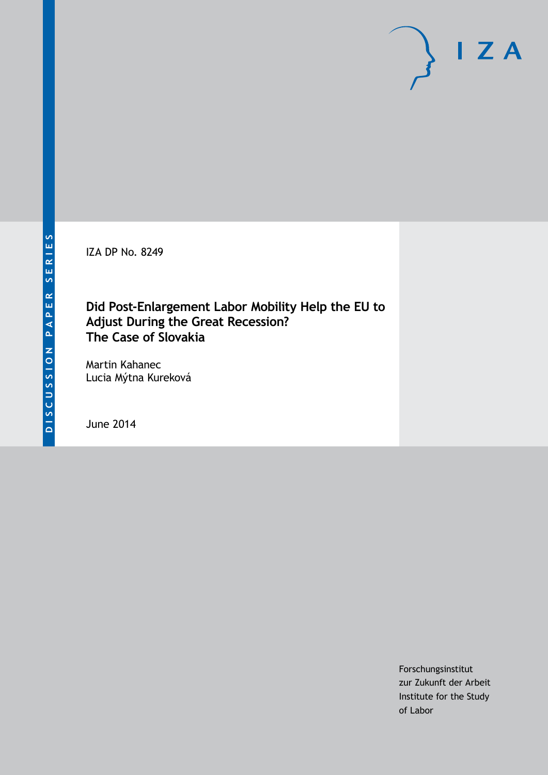IZA DP No. 8249

# **Did Post-Enlargement Labor Mobility Help the EU to Adjust During the Great Recession? The Case of Slovakia**

Martin Kahanec Lucia Mýtna Kureková

June 2014

Forschungsinstitut zur Zukunft der Arbeit Institute for the Study of Labor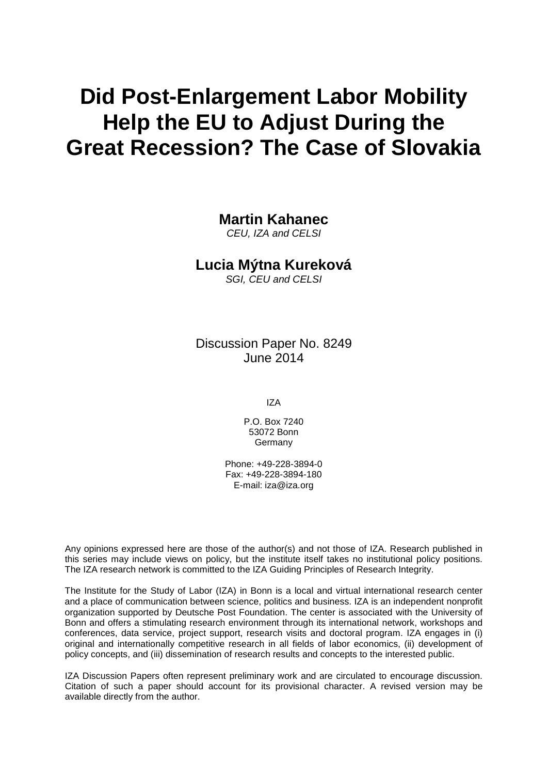# **Did Post-Enlargement Labor Mobility Help the EU to Adjust During the Great Recession? The Case of Slovakia**

**Martin Kahanec**

*CEU, IZA and CELSI*

# **Lucia Mýtna Kureková**

*SGI, CEU and CELSI*

Discussion Paper No. 8249 June 2014

IZA

P.O. Box 7240 53072 Bonn **Germany** 

Phone: +49-228-3894-0 Fax: +49-228-3894-180 E-mail: [iza@iza.org](mailto:iza@iza.org)

Any opinions expressed here are those of the author(s) and not those of IZA. Research published in this series may include views on policy, but the institute itself takes no institutional policy positions. The IZA research network is committed to the IZA Guiding Principles of Research Integrity.

The Institute for the Study of Labor (IZA) in Bonn is a local and virtual international research center and a place of communication between science, politics and business. IZA is an independent nonprofit organization supported by Deutsche Post Foundation. The center is associated with the University of Bonn and offers a stimulating research environment through its international network, workshops and conferences, data service, project support, research visits and doctoral program. IZA engages in (i) original and internationally competitive research in all fields of labor economics, (ii) development of policy concepts, and (iii) dissemination of research results and concepts to the interested public.

<span id="page-1-0"></span>IZA Discussion Papers often represent preliminary work and are circulated to encourage discussion. Citation of such a paper should account for its provisional character. A revised version may be available directly from the author.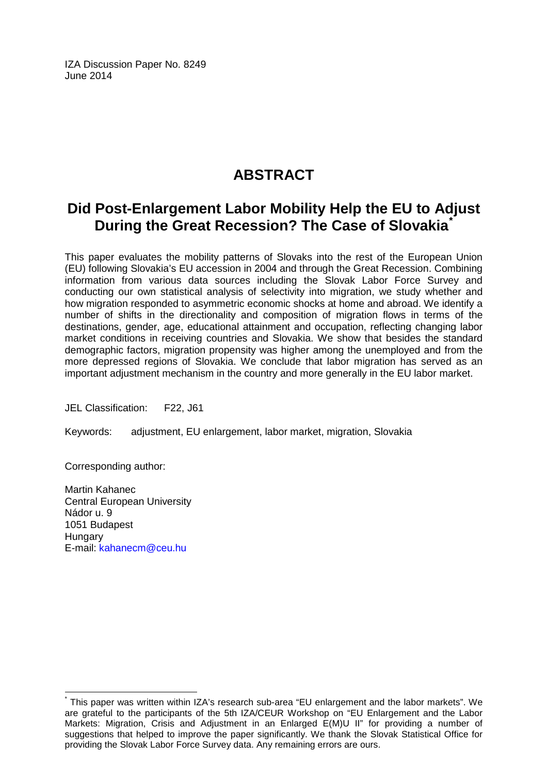IZA Discussion Paper No. 8249 June 2014

# **ABSTRACT**

# **Did Post-Enlargement Labor Mobility Help the EU to Adjust During the Great Recession? The Case of Slovakia[\\*](#page-1-0)**

This paper evaluates the mobility patterns of Slovaks into the rest of the European Union (EU) following Slovakia's EU accession in 2004 and through the Great Recession. Combining information from various data sources including the Slovak Labor Force Survey and conducting our own statistical analysis of selectivity into migration, we study whether and how migration responded to asymmetric economic shocks at home and abroad. We identify a number of shifts in the directionality and composition of migration flows in terms of the destinations, gender, age, educational attainment and occupation, reflecting changing labor market conditions in receiving countries and Slovakia. We show that besides the standard demographic factors, migration propensity was higher among the unemployed and from the more depressed regions of Slovakia. We conclude that labor migration has served as an important adjustment mechanism in the country and more generally in the EU labor market.

JEL Classification: F22, J61

Keywords: adjustment, EU enlargement, labor market, migration, Slovakia

Corresponding author:

Martin Kahanec Central European University Nádor u. 9 1051 Budapest **Hungary** E-mail: [kahanecm@ceu.hu](mailto:kahanecm@ceu.hu)

This paper was written within IZA's research sub-area "EU enlargement and the labor markets". We are grateful to the participants of the 5th IZA/CEUR Workshop on "EU Enlargement and the Labor Markets: Migration, Crisis and Adjustment in an Enlarged E(M)U II" for providing a number of suggestions that helped to improve the paper significantly. We thank the Slovak Statistical Office for providing the Slovak Labor Force Survey data. Any remaining errors are ours.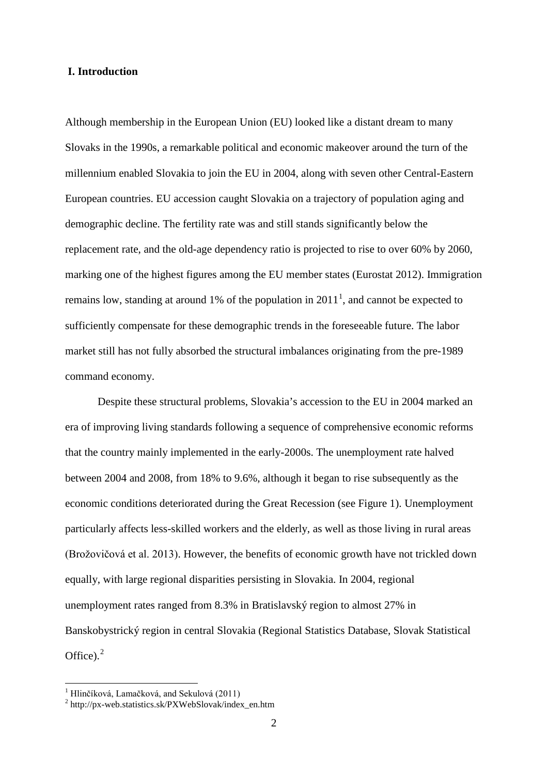#### **I. Introduction**

Although membership in the European Union (EU) looked like a distant dream to many Slovaks in the 1990s, a remarkable political and economic makeover around the turn of the millennium enabled Slovakia to join the EU in 2004, along with seven other Central-Eastern European countries. EU accession caught Slovakia on a trajectory of population aging and demographic decline. The fertility rate was and still stands significantly below the replacement rate, and the old-age dependency ratio is projected to rise to over 60% by 2060, marking one of the highest figures among the EU member states (Eurostat 2012). Immigration remains low, standing at around 1% of the population in  $2011<sup>1</sup>$ , and cannot be expected to sufficiently compensate for these demographic trends in the foreseeable future. The labor market still has not fully absorbed the structural imbalances originating from the pre-1989 command economy.

Despite these structural problems, Slovakia's accession to the EU in 2004 marked an era of improving living standards following a sequence of comprehensive economic reforms that the country mainly implemented in the early-2000s. The unemployment rate halved between 2004 and 2008, from 18% to 9.6%, although it began to rise subsequently as the economic conditions deteriorated during the Great Recession (see Figure 1). Unemployment particularly affects less-skilled workers and the elderly, as well as those living in rural areas (Brožovičová et al. 2013). However, the benefits of economic growth have not trickled down equally, with large regional disparities persisting in Slovakia. In 2004, regional unemployment rates ranged from 8.3% in Bratislavský region to almost 27% in Banskobystrický region in central Slovakia (Regional Statistics Database, Slovak Statistical Office). $<sup>2</sup>$  $<sup>2</sup>$  $<sup>2</sup>$ </sup>

<span id="page-3-1"></span><sup>&</sup>lt;sup>1</sup> Hlinčíková, Lamačková, and Sekulová (2011)

<span id="page-3-0"></span> $2 \text{ http://px-web.statistics.sk/PXWebSlovak/index}$ en.htm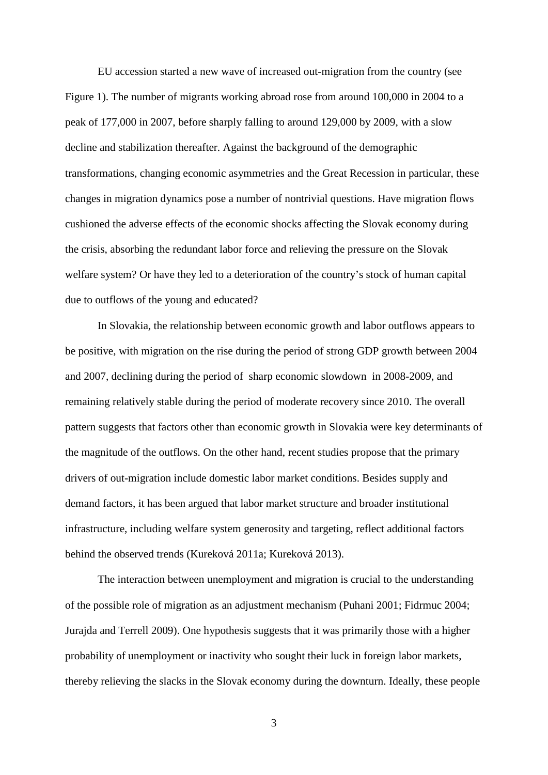EU accession started a new wave of increased out-migration from the country (see Figure 1). The number of migrants working abroad rose from around 100,000 in 2004 to a peak of 177,000 in 2007, before sharply falling to around 129,000 by 2009, with a slow decline and stabilization thereafter. Against the background of the demographic transformations, changing economic asymmetries and the Great Recession in particular, these changes in migration dynamics pose a number of nontrivial questions. Have migration flows cushioned the adverse effects of the economic shocks affecting the Slovak economy during the crisis, absorbing the redundant labor force and relieving the pressure on the Slovak welfare system? Or have they led to a deterioration of the country's stock of human capital due to outflows of the young and educated?

In Slovakia, the relationship between economic growth and labor outflows appears to be positive, with migration on the rise during the period of strong GDP growth between 2004 and 2007, declining during the period of sharp economic slowdown in 2008-2009, and remaining relatively stable during the period of moderate recovery since 2010. The overall pattern suggests that factors other than economic growth in Slovakia were key determinants of the magnitude of the outflows. On the other hand, recent studies propose that the primary drivers of out-migration include domestic labor market conditions. Besides supply and demand factors, it has been argued that labor market structure and broader institutional infrastructure, including welfare system generosity and targeting, reflect additional factors behind the observed trends (Kureková 2011a; Kureková 2013).

The interaction between unemployment and migration is crucial to the understanding of the possible role of migration as an adjustment mechanism (Puhani 2001; Fidrmuc 2004; Jurajda and Terrell 2009). One hypothesis suggests that it was primarily those with a higher probability of unemployment or inactivity who sought their luck in foreign labor markets, thereby relieving the slacks in the Slovak economy during the downturn. Ideally, these people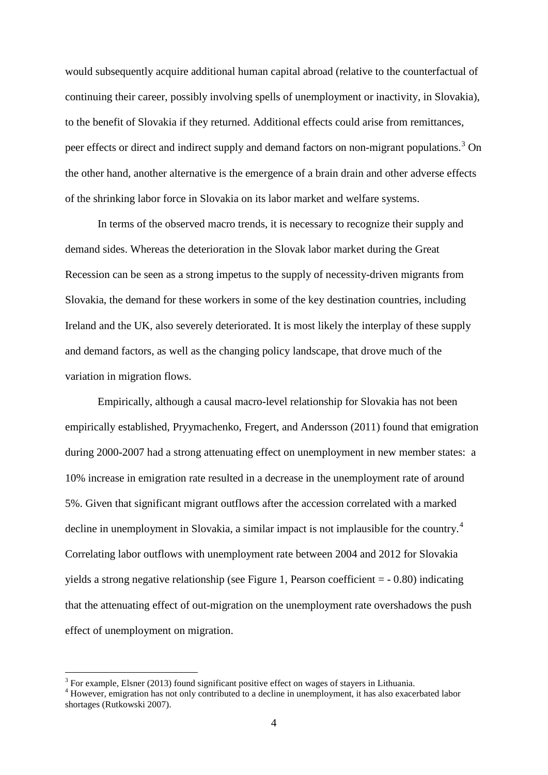would subsequently acquire additional human capital abroad (relative to the counterfactual of continuing their career, possibly involving spells of unemployment or inactivity, in Slovakia), to the benefit of Slovakia if they returned. Additional effects could arise from remittances, peer effects or direct and indirect supply and demand factors on non-migrant populations.<sup>[3](#page-3-1)</sup> On the other hand, another alternative is the emergence of a brain drain and other adverse effects of the shrinking labor force in Slovakia on its labor market and welfare systems.

In terms of the observed macro trends, it is necessary to recognize their supply and demand sides. Whereas the deterioration in the Slovak labor market during the Great Recession can be seen as a strong impetus to the supply of necessity-driven migrants from Slovakia, the demand for these workers in some of the key destination countries, including Ireland and the UK, also severely deteriorated. It is most likely the interplay of these supply and demand factors, as well as the changing policy landscape, that drove much of the variation in migration flows.

Empirically, although a causal macro-level relationship for Slovakia has not been empirically established, Pryymachenko, Fregert, and Andersson (2011) found that emigration during 2000-2007 had a strong attenuating effect on unemployment in new member states: a 10% increase in emigration rate resulted in a decrease in the unemployment rate of around 5%. Given that significant migrant outflows after the accession correlated with a marked decline in unemployment in Slovakia, a similar impact is not implausible for the country.<sup>[4](#page-5-0)</sup> Correlating labor outflows with unemployment rate between 2004 and 2012 for Slovakia yields a strong negative relationship (see Figure 1, Pearson coefficient = - 0.80) indicating that the attenuating effect of out-migration on the unemployment rate overshadows the push effect of unemployment on migration.

<span id="page-5-0"></span> $3$  For example, Elsner (2013) found significant positive effect on wages of stayers in Lithuania.  $4$  However, emigration has not only contributed to a decline in unemployment, it has also exacerbated labor shortages (Rutkowski 2007).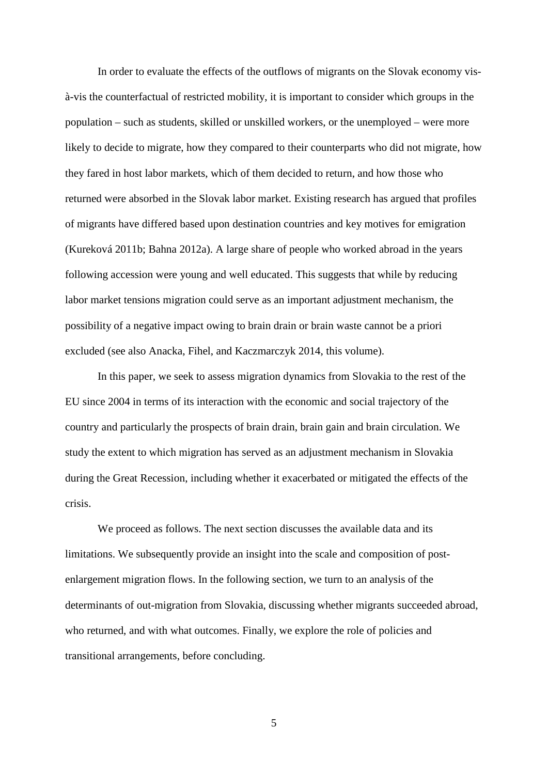In order to evaluate the effects of the outflows of migrants on the Slovak economy visà-vis the counterfactual of restricted mobility, it is important to consider which groups in the population – such as students, skilled or unskilled workers, or the unemployed – were more likely to decide to migrate, how they compared to their counterparts who did not migrate, how they fared in host labor markets, which of them decided to return, and how those who returned were absorbed in the Slovak labor market. Existing research has argued that profiles of migrants have differed based upon destination countries and key motives for emigration (Kureková 2011b; Bahna 2012a). A large share of people who worked abroad in the years following accession were young and well educated. This suggests that while by reducing labor market tensions migration could serve as an important adjustment mechanism, the possibility of a negative impact owing to brain drain or brain waste cannot be a priori excluded (see also Anacka, Fihel, and Kaczmarczyk 2014, this volume).

In this paper, we seek to assess migration dynamics from Slovakia to the rest of the EU since 2004 in terms of its interaction with the economic and social trajectory of the country and particularly the prospects of brain drain, brain gain and brain circulation. We study the extent to which migration has served as an adjustment mechanism in Slovakia during the Great Recession, including whether it exacerbated or mitigated the effects of the crisis.

We proceed as follows. The next section discusses the available data and its limitations. We subsequently provide an insight into the scale and composition of postenlargement migration flows. In the following section, we turn to an analysis of the determinants of out-migration from Slovakia, discussing whether migrants succeeded abroad, who returned, and with what outcomes. Finally, we explore the role of policies and transitional arrangements, before concluding.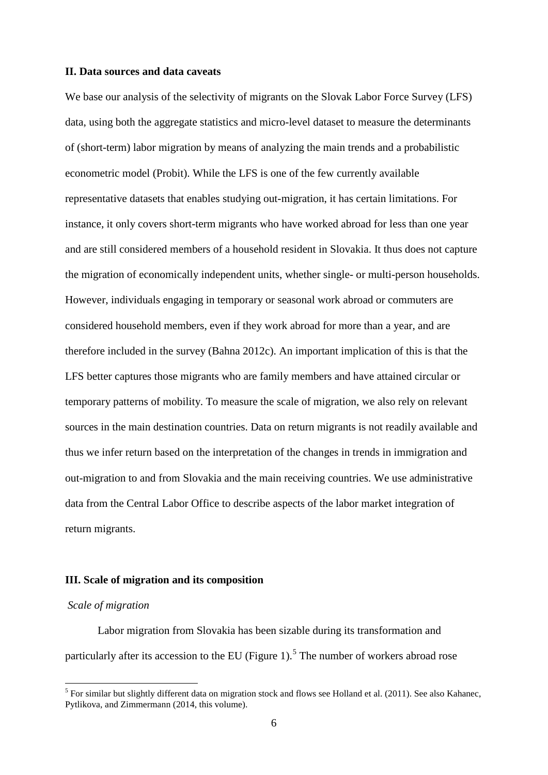#### **II. Data sources and data caveats**

We base our analysis of the selectivity of migrants on the Slovak Labor Force Survey (LFS) data, using both the aggregate statistics and micro-level dataset to measure the determinants of (short-term) labor migration by means of analyzing the main trends and a probabilistic econometric model (Probit). While the LFS is one of the few currently available representative datasets that enables studying out-migration, it has certain limitations. For instance, it only covers short-term migrants who have worked abroad for less than one year and are still considered members of a household resident in Slovakia. It thus does not capture the migration of economically independent units, whether single- or multi-person households. However, individuals engaging in temporary or seasonal work abroad or commuters are considered household members, even if they work abroad for more than a year, and are therefore included in the survey (Bahna 2012c). An important implication of this is that the LFS better captures those migrants who are family members and have attained circular or temporary patterns of mobility. To measure the scale of migration, we also rely on relevant sources in the main destination countries. Data on return migrants is not readily available and thus we infer return based on the interpretation of the changes in trends in immigration and out-migration to and from Slovakia and the main receiving countries. We use administrative data from the Central Labor Office to describe aspects of the labor market integration of return migrants.

### **III. Scale of migration and its composition**

#### *Scale of migration*

Labor migration from Slovakia has been sizable during its transformation and particularly after its accession to the EU (Figure 1).<sup>[5](#page-5-0)</sup> The number of workers abroad rose

<span id="page-7-0"></span> $<sup>5</sup>$  For similar but slightly different data on migration stock and flows see Holland et al. (2011). See also Kahanec,</sup> Pytlikova, and Zimmermann (2014, this volume).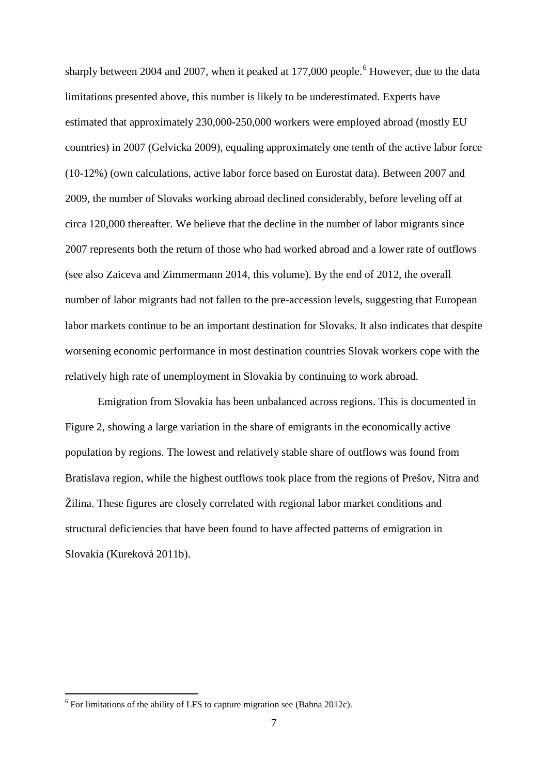sharply between 2004 and 2007, when it peaked at 177,000 people.<sup>[6](#page-7-0)</sup> However, due to the data limitations presented above, this number is likely to be underestimated. Experts have estimated that approximately 230,000-250,000 workers were employed abroad (mostly EU countries) in 2007 (Gelvicka 2009), equaling approximately one tenth of the active labor force (10-12%) (own calculations, active labor force based on Eurostat data). Between 2007 and 2009, the number of Slovaks working abroad declined considerably, before leveling off at circa 120,000 thereafter. We believe that the decline in the number of labor migrants since 2007 represents both the return of those who had worked abroad and a lower rate of outflows (see also Zaiceva and Zimmermann 2014, this volume). By the end of 2012, the overall number of labor migrants had not fallen to the pre-accession levels, suggesting that European labor markets continue to be an important destination for Slovaks. It also indicates that despite worsening economic performance in most destination countries Slovak workers cope with the relatively high rate of unemployment in Slovakia by continuing to work abroad.

Emigration from Slovakia has been unbalanced across regions. This is documented in Figure 2, showing a large variation in the share of emigrants in the economically active population by regions. The lowest and relatively stable share of outflows was found from Bratislava region, while the highest outflows took place from the regions of Prešov, Nitra and Žilina. These figures are closely correlated with regional labor market conditions and structural deficiencies that have been found to have affected patterns of emigration in Slovakia (Kureková 2011b).

<span id="page-8-0"></span> $6$  For limitations of the ability of LFS to capture migration see (Bahna 2012c).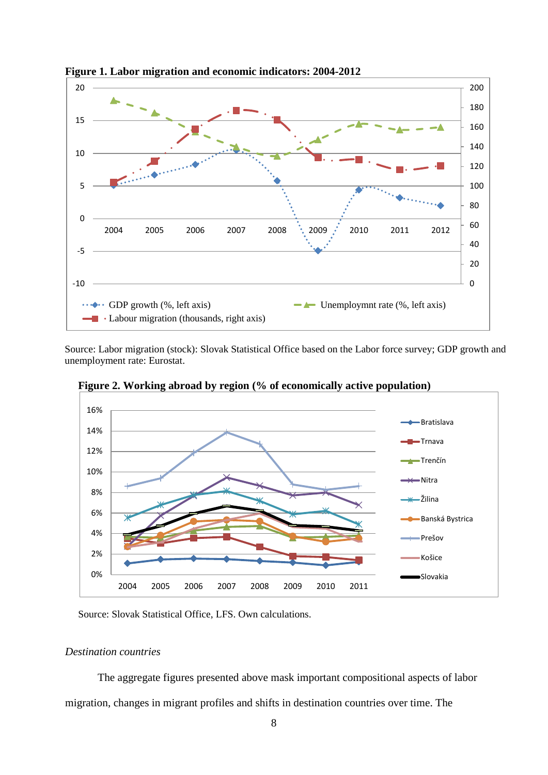

**Figure 1. Labor migration and economic indicators: 2004-2012**

Source: Labor migration (stock): Slovak Statistical Office based on the Labor force survey; GDP growth and unemployment rate: Eurostat.



**Figure 2. Working abroad by region (% of economically active population)** 

Source: Slovak Statistical Office, LFS. Own calculations.

# *Destination countries*

The aggregate figures presented above mask important compositional aspects of labor migration, changes in migrant profiles and shifts in destination countries over time. The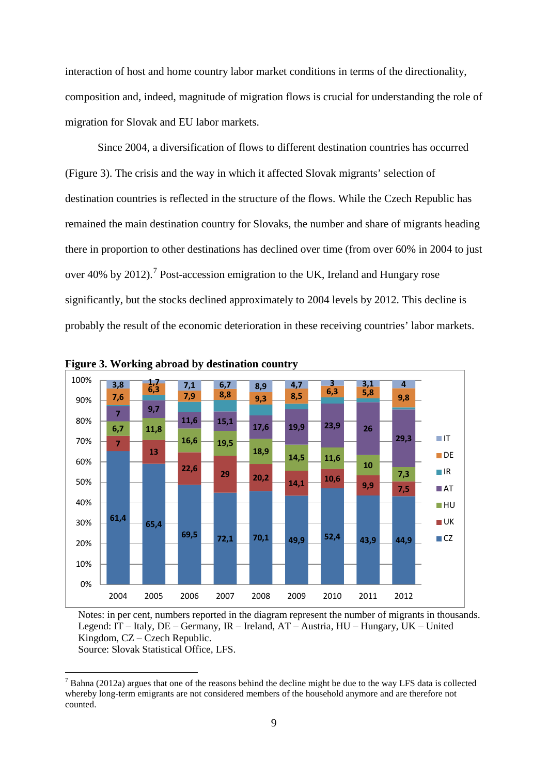interaction of host and home country labor market conditions in terms of the directionality, composition and, indeed, magnitude of migration flows is crucial for understanding the role of migration for Slovak and EU labor markets.

Since 2004, a diversification of flows to different destination countries has occurred (Figure 3). The crisis and the way in which it affected Slovak migrants' selection of destination countries is reflected in the structure of the flows. While the Czech Republic has remained the main destination country for Slovaks, the number and share of migrants heading there in proportion to other destinations has declined over time (from over 60% in 2004 to just over 40% by 2012).<sup>[7](#page-8-0)</sup> Post-accession emigration to the UK, Ireland and Hungary rose significantly, but the stocks declined approximately to 2004 levels by 2012. This decline is probably the result of the economic deterioration in these receiving countries' labor markets.





Notes: in per cent, numbers reported in the diagram represent the number of migrants in thousands. Legend: IT – Italy, DE – Germany, IR – Ireland, AT – Austria, HU – Hungary, UK – United Kingdom, CZ – Czech Republic. Source: Slovak Statistical Office, LFS.

<span id="page-10-0"></span> $^7$  Bahna (2012a) argues that one of the reasons behind the decline might be due to the way LFS data is collected whereby long-term emigrants are not considered members of the household anymore and are therefore not counted.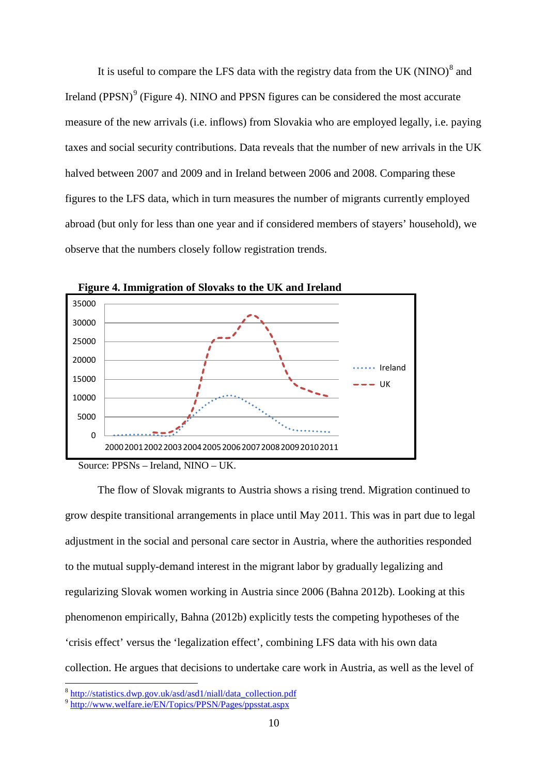It is useful to compare the LFS data with the registry data from the UK  $(NINO)^8$  $(NINO)^8$  and Ireland (PPSN) $<sup>9</sup>$  $<sup>9</sup>$  $<sup>9</sup>$  (Figure 4). NINO and PPSN figures can be considered the most accurate</sup> measure of the new arrivals (i.e. inflows) from Slovakia who are employed legally, i.e. paying taxes and social security contributions. Data reveals that the number of new arrivals in the UK halved between 2007 and 2009 and in Ireland between 2006 and 2008. Comparing these figures to the LFS data, which in turn measures the number of migrants currently employed abroad (but only for less than one year and if considered members of stayers' household), we observe that the numbers closely follow registration trends.



**Figure 4. Immigration of Slovaks to the UK and Ireland**

Source: PPSNs – Ireland, NINO – UK.

The flow of Slovak migrants to Austria shows a rising trend. Migration continued to grow despite transitional arrangements in place until May 2011. This was in part due to legal adjustment in the social and personal care sector in Austria, where the authorities responded to the mutual supply-demand interest in the migrant labor by gradually legalizing and regularizing Slovak women working in Austria since 2006 (Bahna 2012b). Looking at this phenomenon empirically, Bahna (2012b) explicitly tests the competing hypotheses of the 'crisis effect' versus the 'legalization effect', combining LFS data with his own data collection. He argues that decisions to undertake care work in Austria, as well as the level of

<span id="page-11-1"></span> <sup>8</sup> [http://statistics.dwp.gov.uk/asd/asd1/niall/data\\_collection.pdf](http://statistics.dwp.gov.uk/asd/asd1/niall/data_collection.pdf)

<span id="page-11-0"></span><sup>9</sup> <http://www.welfare.ie/EN/Topics/PPSN/Pages/ppsstat.aspx>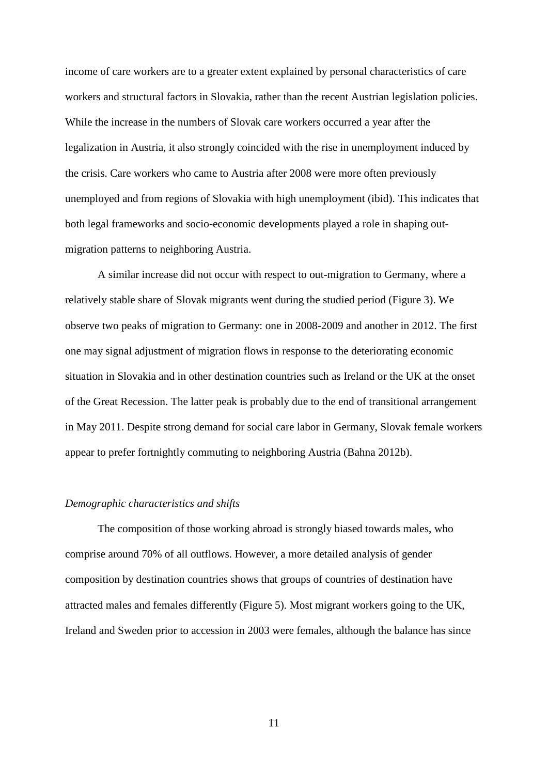income of care workers are to a greater extent explained by personal characteristics of care workers and structural factors in Slovakia, rather than the recent Austrian legislation policies. While the increase in the numbers of Slovak care workers occurred a year after the legalization in Austria, it also strongly coincided with the rise in unemployment induced by the crisis. Care workers who came to Austria after 2008 were more often previously unemployed and from regions of Slovakia with high unemployment (ibid). This indicates that both legal frameworks and socio-economic developments played a role in shaping outmigration patterns to neighboring Austria.

A similar increase did not occur with respect to out-migration to Germany, where a relatively stable share of Slovak migrants went during the studied period (Figure 3). We observe two peaks of migration to Germany: one in 2008-2009 and another in 2012. The first one may signal adjustment of migration flows in response to the deteriorating economic situation in Slovakia and in other destination countries such as Ireland or the UK at the onset of the Great Recession. The latter peak is probably due to the end of transitional arrangement in May 2011. Despite strong demand for social care labor in Germany, Slovak female workers appear to prefer fortnightly commuting to neighboring Austria (Bahna 2012b).

#### *Demographic characteristics and shifts*

The composition of those working abroad is strongly biased towards males, who comprise around 70% of all outflows. However, a more detailed analysis of gender composition by destination countries shows that groups of countries of destination have attracted males and females differently (Figure 5). Most migrant workers going to the UK, Ireland and Sweden prior to accession in 2003 were females, although the balance has since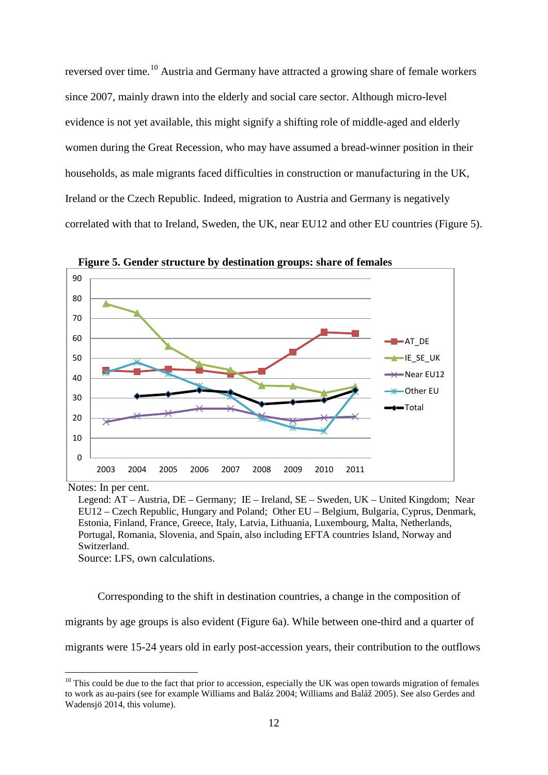reversed over time.[10](#page-11-1) Austria and Germany have attracted a growing share of female workers since 2007, mainly drawn into the elderly and social care sector. Although micro-level evidence is not yet available, this might signify a shifting role of middle-aged and elderly women during the Great Recession, who may have assumed a bread-winner position in their households, as male migrants faced difficulties in construction or manufacturing in the UK, Ireland or the Czech Republic. Indeed, migration to Austria and Germany is negatively correlated with that to Ireland, Sweden, the UK, near EU12 and other EU countries (Figure 5).



**Figure 5. Gender structure by destination groups: share of females**

Notes: In per cent.

Legend: AT – Austria, DE – Germany; IE – Ireland, SE – Sweden, UK – United Kingdom; Near EU12 – Czech Republic, Hungary and Poland; Other EU – Belgium, Bulgaria, Cyprus, Denmark, Estonia, Finland, France, Greece, Italy, Latvia, Lithuania, Luxembourg, Malta, Netherlands, Portugal, Romania, Slovenia, and Spain, also including EFTA countries Island, Norway and Switzerland.

Source: LFS, own calculations.

Corresponding to the shift in destination countries, a change in the composition of

migrants by age groups is also evident (Figure 6a). While between one-third and a quarter of

migrants were 15-24 years old in early post-accession years, their contribution to the outflows

<span id="page-13-0"></span> $10$  This could be due to the fact that prior to accession, especially the UK was open towards migration of females to work as au-pairs (see for example Williams and Baláz 2004; Williams and Baláž 2005). See also Gerdes and Wadensjö 2014, this volume).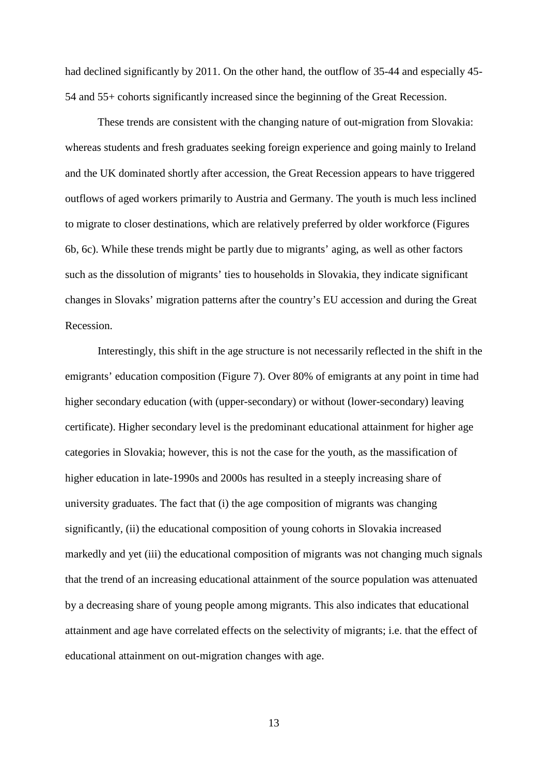had declined significantly by 2011. On the other hand, the outflow of 35-44 and especially 45- 54 and 55+ cohorts significantly increased since the beginning of the Great Recession.

These trends are consistent with the changing nature of out-migration from Slovakia: whereas students and fresh graduates seeking foreign experience and going mainly to Ireland and the UK dominated shortly after accession, the Great Recession appears to have triggered outflows of aged workers primarily to Austria and Germany. The youth is much less inclined to migrate to closer destinations, which are relatively preferred by older workforce (Figures 6b, 6c). While these trends might be partly due to migrants' aging, as well as other factors such as the dissolution of migrants' ties to households in Slovakia, they indicate significant changes in Slovaks' migration patterns after the country's EU accession and during the Great Recession.

Interestingly, this shift in the age structure is not necessarily reflected in the shift in the emigrants' education composition (Figure 7). Over 80% of emigrants at any point in time had higher secondary education (with (upper-secondary) or without (lower-secondary) leaving certificate). Higher secondary level is the predominant educational attainment for higher age categories in Slovakia; however, this is not the case for the youth, as the massification of higher education in late-1990s and 2000s has resulted in a steeply increasing share of university graduates. The fact that (i) the age composition of migrants was changing significantly, (ii) the educational composition of young cohorts in Slovakia increased markedly and yet (iii) the educational composition of migrants was not changing much signals that the trend of an increasing educational attainment of the source population was attenuated by a decreasing share of young people among migrants. This also indicates that educational attainment and age have correlated effects on the selectivity of migrants; i.e. that the effect of educational attainment on out-migration changes with age.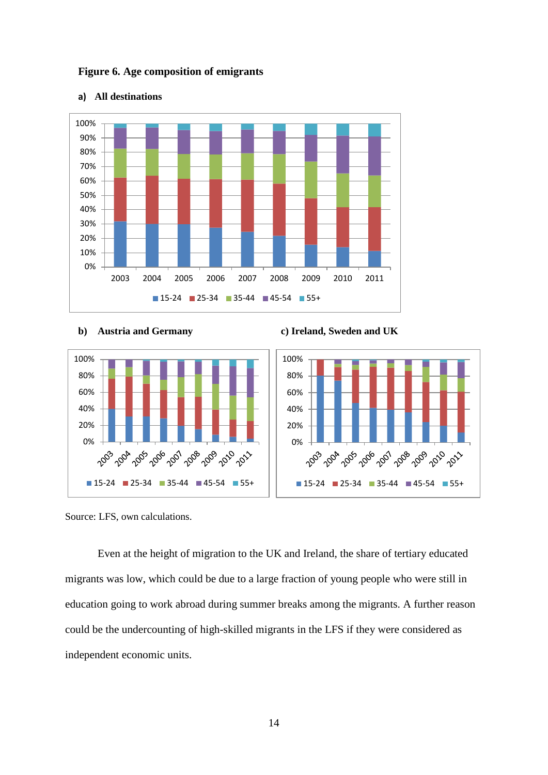**Figure 6. Age composition of emigrants**



#### **a) All destinations**



**b) Austria and Germany c) Ireland, Sweden and UK**



Source: LFS, own calculations.

Even at the height of migration to the UK and Ireland, the share of tertiary educated migrants was low, which could be due to a large fraction of young people who were still in education going to work abroad during summer breaks among the migrants. A further reason could be the undercounting of high-skilled migrants in the LFS if they were considered as independent economic units.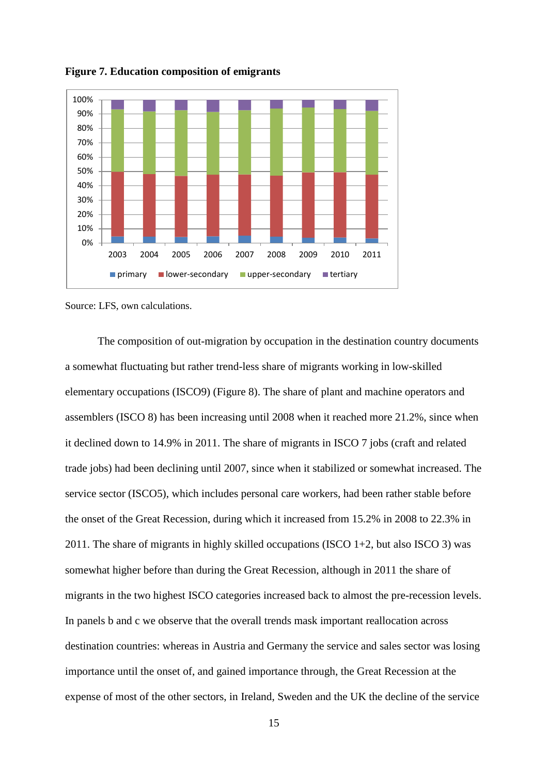

**Figure 7. Education composition of emigrants** 

Source: LFS, own calculations.

The composition of out-migration by occupation in the destination country documents a somewhat fluctuating but rather trend-less share of migrants working in low-skilled elementary occupations (ISCO9) (Figure 8). The share of plant and machine operators and assemblers (ISCO 8) has been increasing until 2008 when it reached more 21.2%, since when it declined down to 14.9% in 2011. The share of migrants in ISCO 7 jobs (craft and related trade jobs) had been declining until 2007, since when it stabilized or somewhat increased. The service sector (ISCO5), which includes personal care workers, had been rather stable before the onset of the Great Recession, during which it increased from 15.2% in 2008 to 22.3% in 2011. The share of migrants in highly skilled occupations (ISCO  $1+2$ , but also ISCO 3) was somewhat higher before than during the Great Recession, although in 2011 the share of migrants in the two highest ISCO categories increased back to almost the pre-recession levels. In panels b and c we observe that the overall trends mask important reallocation across destination countries: whereas in Austria and Germany the service and sales sector was losing importance until the onset of, and gained importance through, the Great Recession at the expense of most of the other sectors, in Ireland, Sweden and the UK the decline of the service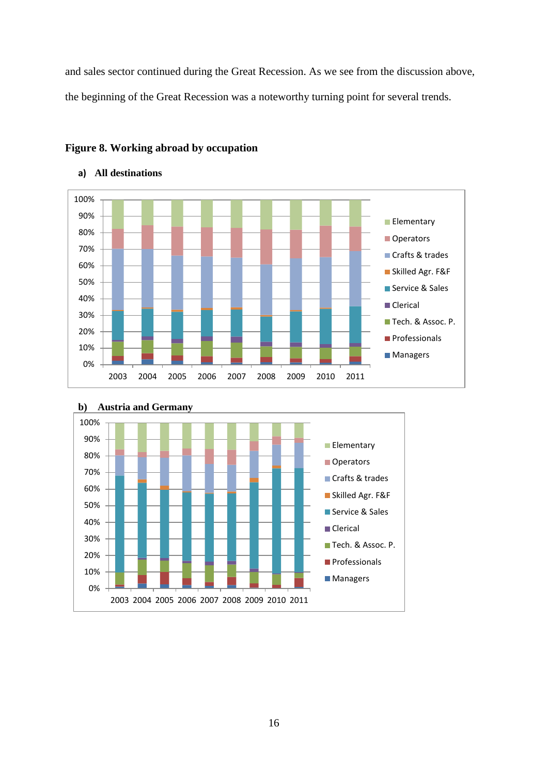and sales sector continued during the Great Recession. As we see from the discussion above, the beginning of the Great Recession was a noteworthy turning point for several trends.



### **Figure 8. Working abroad by occupation**

#### **a) All destinations**



# **b) Austria and Germany**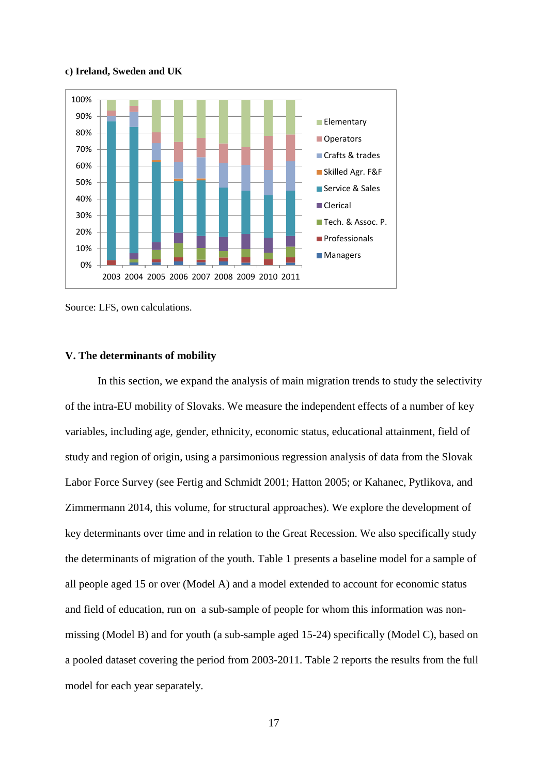#### **c) Ireland, Sweden and UK**



Source: LFS, own calculations.

#### **V. The determinants of mobility**

In this section, we expand the analysis of main migration trends to study the selectivity of the intra-EU mobility of Slovaks. We measure the independent effects of a number of key variables, including age, gender, ethnicity, economic status, educational attainment, field of study and region of origin, using a parsimonious regression analysis of data from the Slovak Labor Force Survey (see Fertig and Schmidt 2001; Hatton 2005; or Kahanec, Pytlikova, and Zimmermann 2014, this volume, for structural approaches). We explore the development of key determinants over time and in relation to the Great Recession. We also specifically study the determinants of migration of the youth. Table 1 presents a baseline model for a sample of all people aged 15 or over (Model A) and a model extended to account for economic status and field of education, run on a sub-sample of people for whom this information was nonmissing (Model B) and for youth (a sub-sample aged 15-24) specifically (Model C), based on a pooled dataset covering the period from 2003-2011. Table 2 reports the results from the full model for each year separately.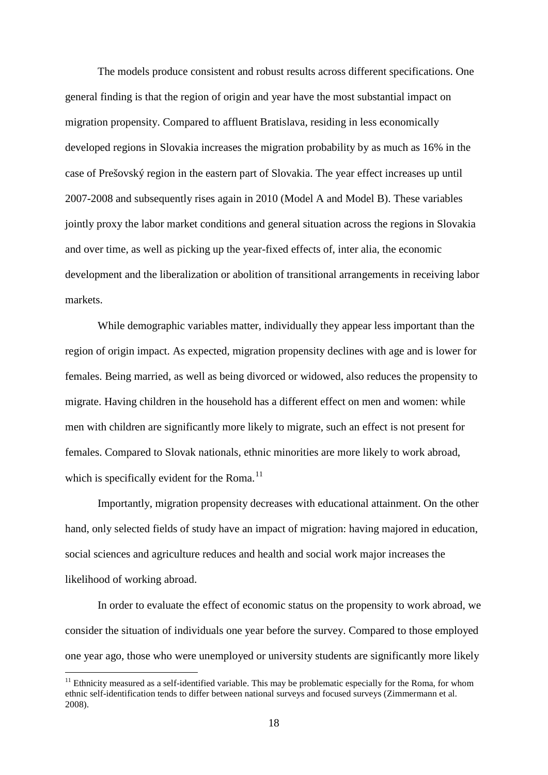The models produce consistent and robust results across different specifications. One general finding is that the region of origin and year have the most substantial impact on migration propensity. Compared to affluent Bratislava, residing in less economically developed regions in Slovakia increases the migration probability by as much as 16% in the case of Prešovský region in the eastern part of Slovakia. The year effect increases up until 2007-2008 and subsequently rises again in 2010 (Model A and Model B). These variables jointly proxy the labor market conditions and general situation across the regions in Slovakia and over time, as well as picking up the year-fixed effects of, inter alia, the economic development and the liberalization or abolition of transitional arrangements in receiving labor markets.

While demographic variables matter, individually they appear less important than the region of origin impact. As expected, migration propensity declines with age and is lower for females. Being married, as well as being divorced or widowed, also reduces the propensity to migrate. Having children in the household has a different effect on men and women: while men with children are significantly more likely to migrate, such an effect is not present for females. Compared to Slovak nationals, ethnic minorities are more likely to work abroad, which is specifically evident for the Roma.<sup>[11](#page-13-0)</sup>

Importantly, migration propensity decreases with educational attainment. On the other hand, only selected fields of study have an impact of migration: having majored in education, social sciences and agriculture reduces and health and social work major increases the likelihood of working abroad.

<span id="page-19-0"></span>In order to evaluate the effect of economic status on the propensity to work abroad, we consider the situation of individuals one year before the survey. Compared to those employed one year ago, those who were unemployed or university students are significantly more likely

<sup>&</sup>lt;sup>11</sup> Ethnicity measured as a self-identified variable. This may be problematic especially for the Roma, for whom ethnic self-identification tends to differ between national surveys and focused surveys (Zimmermann et al. 2008).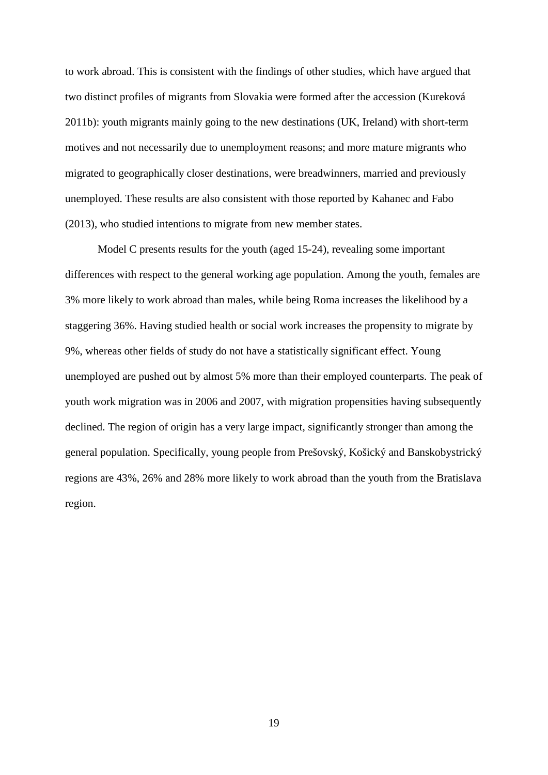to work abroad. This is consistent with the findings of other studies, which have argued that two distinct profiles of migrants from Slovakia were formed after the accession (Kureková 2011b): youth migrants mainly going to the new destinations (UK, Ireland) with short-term motives and not necessarily due to unemployment reasons; and more mature migrants who migrated to geographically closer destinations, were breadwinners, married and previously unemployed. These results are also consistent with those reported by Kahanec and Fabo (2013), who studied intentions to migrate from new member states.

Model C presents results for the youth (aged 15-24), revealing some important differences with respect to the general working age population. Among the youth, females are 3% more likely to work abroad than males, while being Roma increases the likelihood by a staggering 36%. Having studied health or social work increases the propensity to migrate by 9%, whereas other fields of study do not have a statistically significant effect. Young unemployed are pushed out by almost 5% more than their employed counterparts. The peak of youth work migration was in 2006 and 2007, with migration propensities having subsequently declined. The region of origin has a very large impact, significantly stronger than among the general population. Specifically, young people from Prešovský, Košický and Banskobystrický regions are 43%, 26% and 28% more likely to work abroad than the youth from the Bratislava region.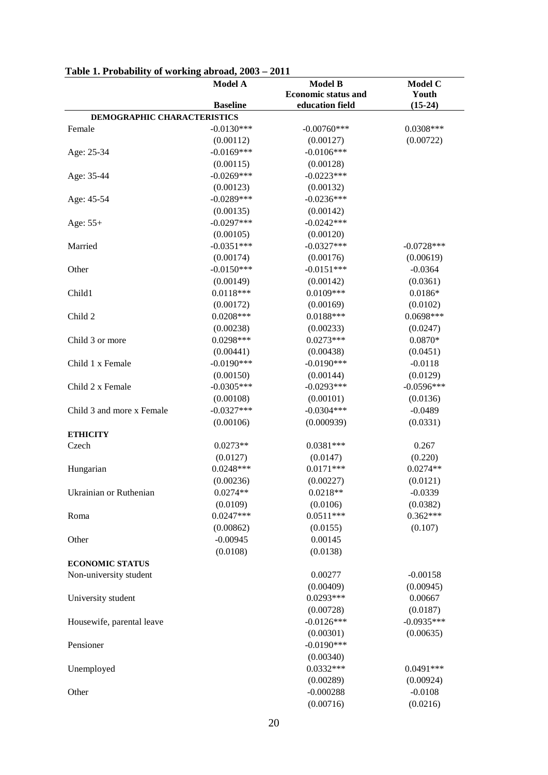|                             | <b>Model A</b>  | <b>Model B</b>             | <b>Model C</b> |  |  |
|-----------------------------|-----------------|----------------------------|----------------|--|--|
|                             |                 | <b>Economic status and</b> | Youth          |  |  |
|                             | <b>Baseline</b> | education field            | $(15-24)$      |  |  |
| DEMOGRAPHIC CHARACTERISTICS |                 |                            |                |  |  |
| Female                      | $-0.0130***$    | $-0.00760$ ***             | $0.0308***$    |  |  |
|                             | (0.00112)       | (0.00127)                  | (0.00722)      |  |  |
| Age: 25-34                  | $-0.0169***$    | $-0.0106***$               |                |  |  |
|                             | (0.00115)       | (0.00128)                  |                |  |  |
| Age: 35-44                  | $-0.0269***$    | $-0.0223***$               |                |  |  |
|                             | (0.00123)       | (0.00132)                  |                |  |  |
| Age: 45-54                  | $-0.0289***$    | $-0.0236***$               |                |  |  |
|                             | (0.00135)       | (0.00142)                  |                |  |  |
| Age: $55+$                  | $-0.0297***$    | $-0.0242***$               |                |  |  |
|                             | (0.00105)       | (0.00120)                  |                |  |  |
| Married                     | $-0.0351***$    | $-0.0327***$               | $-0.0728***$   |  |  |
|                             | (0.00174)       | (0.00176)                  | (0.00619)      |  |  |
| Other                       | $-0.0150***$    | $-0.0151***$               | $-0.0364$      |  |  |
|                             | (0.00149)       | (0.00142)                  | (0.0361)       |  |  |
| Child1                      | $0.0118***$     | $0.0109***$                | $0.0186*$      |  |  |
|                             | (0.00172)       | (0.00169)                  | (0.0102)       |  |  |
| Child 2                     | $0.0208***$     | $0.0188***$                | 0.0698***      |  |  |
|                             | (0.00238)       | (0.00233)                  | (0.0247)       |  |  |
| Child 3 or more             | 0.0298***       | $0.0273***$                | $0.0870*$      |  |  |
|                             | (0.00441)       | (0.00438)                  | (0.0451)       |  |  |
| Child 1 x Female            | $-0.0190***$    | $-0.0190***$               | $-0.0118$      |  |  |
|                             | (0.00150)       | (0.00144)                  | (0.0129)       |  |  |
| Child 2 x Female            | $-0.0305***$    | $-0.0293***$               | $-0.0596***$   |  |  |
|                             | (0.00108)       | (0.00101)                  | (0.0136)       |  |  |
| Child 3 and more x Female   | $-0.0327***$    | $-0.0304***$               | $-0.0489$      |  |  |
|                             | (0.00106)       | (0.000939)                 | (0.0331)       |  |  |
| <b>ETHICITY</b>             |                 |                            |                |  |  |
| Czech                       | $0.0273**$      | $0.0381***$                | 0.267          |  |  |
|                             | (0.0127)        | (0.0147)                   | (0.220)        |  |  |
| Hungarian                   | $0.0248***$     | $0.0171***$                | $0.0274**$     |  |  |
|                             | (0.00236)       | (0.00227)                  | (0.0121)       |  |  |
| Ukrainian or Ruthenian      | $0.0274**$      | $0.0218**$                 | $-0.0339$      |  |  |
|                             | (0.0109)        | (0.0106)                   | (0.0382)       |  |  |
| Roma                        | $0.0247***$     | $0.0511***$                | $0.362***$     |  |  |
|                             | (0.00862)       | (0.0155)                   | (0.107)        |  |  |
| Other                       | $-0.00945$      | 0.00145                    |                |  |  |
|                             | (0.0108)        | (0.0138)                   |                |  |  |
| <b>ECONOMIC STATUS</b>      |                 |                            |                |  |  |
| Non-university student      |                 | 0.00277                    | $-0.00158$     |  |  |
|                             |                 | (0.00409)                  | (0.00945)      |  |  |
|                             |                 | $0.0293***$                | 0.00667        |  |  |
| University student          |                 |                            |                |  |  |
|                             |                 | (0.00728)<br>$-0.0126***$  | (0.0187)       |  |  |
| Housewife, parental leave   |                 |                            | $-0.0935***$   |  |  |
|                             |                 | (0.00301)                  | (0.00635)      |  |  |
| Pensioner                   |                 | $-0.0190***$               |                |  |  |
|                             |                 | (0.00340)                  |                |  |  |
| Unemployed                  |                 | $0.0332***$                | $0.0491***$    |  |  |
|                             |                 | (0.00289)                  | (0.00924)      |  |  |
| Other                       |                 | $-0.000288$                | $-0.0108$      |  |  |
|                             |                 | (0.00716)                  | (0.0216)       |  |  |

# **Table 1. Probability of working abroad, 2003 – 2011**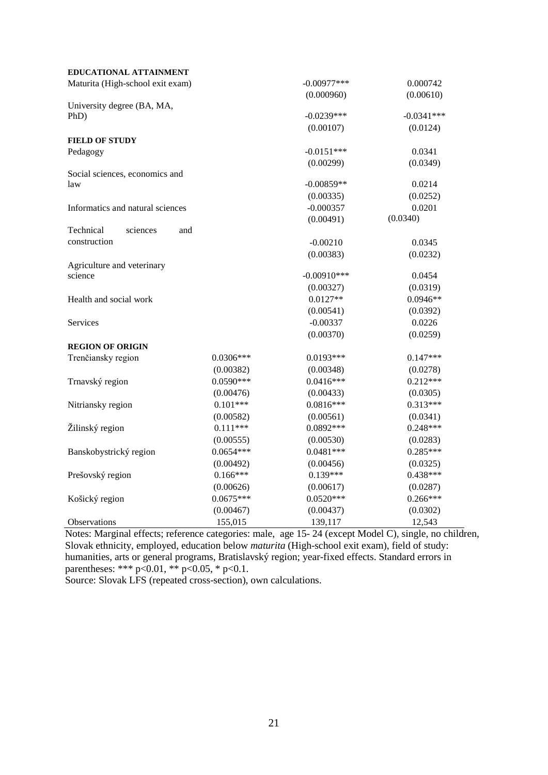| EDUCATIONAL ATTAINMENT           |             |                |              |
|----------------------------------|-------------|----------------|--------------|
| Maturita (High-school exit exam) |             | $-0.00977$ *** | 0.000742     |
|                                  |             | (0.000960)     | (0.00610)    |
| University degree (BA, MA,       |             |                |              |
| PhD)                             |             | $-0.0239***$   | $-0.0341***$ |
|                                  |             | (0.00107)      | (0.0124)     |
| <b>FIELD OF STUDY</b>            |             |                |              |
| Pedagogy                         |             | $-0.0151***$   | 0.0341       |
|                                  |             | (0.00299)      | (0.0349)     |
| Social sciences, economics and   |             |                |              |
| law                              |             | $-0.00859**$   | 0.0214       |
|                                  |             | (0.00335)      | (0.0252)     |
| Informatics and natural sciences |             | $-0.000357$    | 0.0201       |
|                                  |             | (0.00491)      | (0.0340)     |
| Technical<br>sciences            | and         |                |              |
| construction                     |             | $-0.00210$     | 0.0345       |
|                                  |             | (0.00383)      | (0.0232)     |
| Agriculture and veterinary       |             |                |              |
| science                          |             | $-0.00910***$  | 0.0454       |
|                                  |             | (0.00327)      | (0.0319)     |
| Health and social work           |             | $0.0127**$     | $0.0946**$   |
|                                  |             | (0.00541)      | (0.0392)     |
| Services                         |             | $-0.00337$     | 0.0226       |
|                                  |             | (0.00370)      | (0.0259)     |
| <b>REGION OF ORIGIN</b>          |             |                |              |
| Trenčiansky region               | 0.0306***   | $0.0193***$    | $0.147***$   |
|                                  | (0.00382)   | (0.00348)      | (0.0278)     |
| Trnavský region                  | $0.0590***$ | $0.0416***$    | $0.212***$   |
|                                  | (0.00476)   | (0.00433)      | (0.0305)     |
| Nitriansky region                | $0.101***$  | $0.0816***$    | $0.313***$   |
|                                  | (0.00582)   | (0.00561)      | (0.0341)     |
| Žilinský region                  | $0.111***$  | $0.0892***$    | $0.248***$   |
|                                  | (0.00555)   | (0.00530)      | (0.0283)     |
| Banskobystrický region           | $0.0654***$ | $0.0481***$    | $0.285***$   |
|                                  | (0.00492)   | (0.00456)      | (0.0325)     |
| Prešovský region                 | $0.166***$  | $0.139***$     | $0.438***$   |
|                                  | (0.00626)   | (0.00617)      | (0.0287)     |
| Košický region                   | $0.0675***$ | $0.0520***$    | $0.266***$   |
|                                  | (0.00467)   | (0.00437)      | (0.0302)     |
| <b>Observations</b>              | 155,015     | 139,117        | 12,543       |

Notes: Marginal effects; reference categories: male, age 15- 24 (except Model C), single, no children, Slovak ethnicity, employed, education below *maturita* (High-school exit exam), field of study: humanities, arts or general programs, Bratislavský region; year-fixed effects. Standard errors in parentheses: \*\*\* p<0.01, \*\* p<0.05, \* p<0.1.

Source: Slovak LFS (repeated cross-section), own calculations.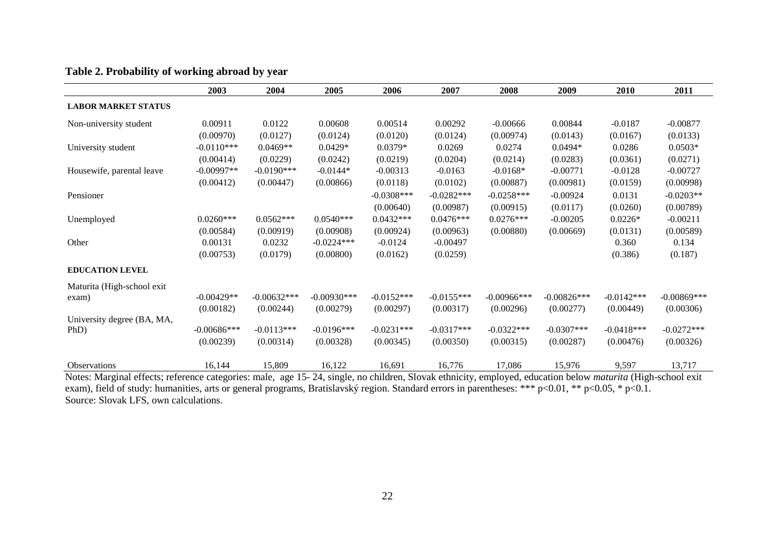|                             | 2003          | 2004          | 2005          | 2006         | 2007         | 2008           | 2009          | <b>2010</b>  | 2011           |
|-----------------------------|---------------|---------------|---------------|--------------|--------------|----------------|---------------|--------------|----------------|
| <b>LABOR MARKET STATUS</b>  |               |               |               |              |              |                |               |              |                |
| Non-university student      | 0.00911       | 0.0122        | 0.00608       | 0.00514      | 0.00292      | $-0.00666$     | 0.00844       | $-0.0187$    | $-0.00877$     |
|                             | (0.00970)     | (0.0127)      | (0.0124)      | (0.0120)     | (0.0124)     | (0.00974)      | (0.0143)      | (0.0167)     | (0.0133)       |
| University student          | $-0.0110***$  | $0.0469**$    | $0.0429*$     | $0.0379*$    | 0.0269       | 0.0274         | $0.0494*$     | 0.0286       | $0.0503*$      |
|                             | (0.00414)     | (0.0229)      | (0.0242)      | (0.0219)     | (0.0204)     | (0.0214)       | (0.0283)      | (0.0361)     | (0.0271)       |
| Housewife, parental leave   | $-0.00997**$  | $-0.0190***$  | $-0.0144*$    | $-0.00313$   | $-0.0163$    | $-0.0168*$     | $-0.00771$    | $-0.0128$    | $-0.00727$     |
|                             | (0.00412)     | (0.00447)     | (0.00866)     | (0.0118)     | (0.0102)     | (0.00887)      | (0.00981)     | (0.0159)     | (0.00998)      |
| Pensioner                   |               |               |               | $-0.0308***$ | $-0.0282***$ | $-0.0258***$   | $-0.00924$    | 0.0131       | $-0.0203**$    |
|                             |               |               |               | (0.00640)    | (0.00987)    | (0.00915)      | (0.0117)      | (0.0260)     | (0.00789)      |
| Unemployed                  | $0.0260***$   | $0.0562***$   | $0.0540***$   | $0.0432***$  | $0.0476***$  | $0.0276***$    | $-0.00205$    | $0.0226*$    | $-0.00211$     |
|                             | (0.00584)     | (0.00919)     | (0.00908)     | (0.00924)    | (0.00963)    | (0.00880)      | (0.00669)     | (0.0131)     | (0.00589)      |
| Other                       | 0.00131       | 0.0232        | $-0.0224***$  | $-0.0124$    | $-0.00497$   |                |               | 0.360        | 0.134          |
|                             | (0.00753)     | (0.0179)      | (0.00800)     | (0.0162)     | (0.0259)     |                |               | (0.386)      | (0.187)        |
| <b>EDUCATION LEVEL</b>      |               |               |               |              |              |                |               |              |                |
| Maturita (High-school exit) |               |               |               |              |              |                |               |              |                |
| exam)                       | $-0.00429**$  | $-0.00632***$ | $-0.00930***$ | $-0.0152***$ | $-0.0155***$ | $-0.00966$ *** | $-0.00826***$ | $-0.0142***$ | $-0.00869$ *** |
|                             | (0.00182)     | (0.00244)     | (0.00279)     | (0.00297)    | (0.00317)    | (0.00296)      | (0.00277)     | (0.00449)    | (0.00306)      |
| University degree (BA, MA,  |               |               |               |              |              |                |               |              |                |
| PhD)                        | $-0.00686***$ | $-0.0113***$  | $-0.0196***$  | $-0.0231***$ | $-0.0317***$ | $-0.0322***$   | $-0.0307***$  | $-0.0418***$ | $-0.0272***$   |
|                             | (0.00239)     | (0.00314)     | (0.00328)     | (0.00345)    | (0.00350)    | (0.00315)      | (0.00287)     | (0.00476)    | (0.00326)      |
| <b>Observations</b>         | 16,144        | 15,809        | 16,122        | 16,691       | 16,776       | 17,086         | 15,976        | 9,597        | 13,717         |

# **Table 2. Probability of working abroad by year**

Notes: Marginal effects; reference categories: male, age 15- 24, single, no children, Slovak ethnicity, employed, education below *maturita* (High-school exit exam), field of study: humanities, arts or general programs, Bratislavský region. Standard errors in parentheses: \*\*\* p<0.01, \*\* p<0.05, \* p<0.1. Source: Slovak LFS, own calculations.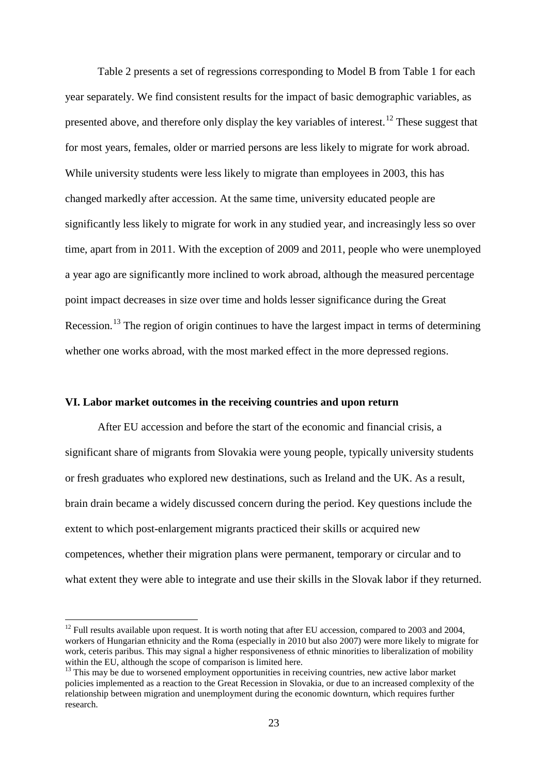Table 2 presents a set of regressions corresponding to Model B from Table 1 for each year separately. We find consistent results for the impact of basic demographic variables, as presented above, and therefore only display the key variables of interest.<sup>[12](#page-19-0)</sup> These suggest that for most years, females, older or married persons are less likely to migrate for work abroad. While university students were less likely to migrate than employees in 2003, this has changed markedly after accession. At the same time, university educated people are significantly less likely to migrate for work in any studied year, and increasingly less so over time, apart from in 2011. With the exception of 2009 and 2011, people who were unemployed a year ago are significantly more inclined to work abroad, although the measured percentage point impact decreases in size over time and holds lesser significance during the Great Recession.<sup>[13](#page-24-0)</sup> The region of origin continues to have the largest impact in terms of determining whether one works abroad, with the most marked effect in the more depressed regions.

#### **VI. Labor market outcomes in the receiving countries and upon return**

After EU accession and before the start of the economic and financial crisis, a significant share of migrants from Slovakia were young people, typically university students or fresh graduates who explored new destinations, such as Ireland and the UK. As a result, brain drain became a widely discussed concern during the period. Key questions include the extent to which post-enlargement migrants practiced their skills or acquired new competences, whether their migration plans were permanent, temporary or circular and to what extent they were able to integrate and use their skills in the Slovak labor if they returned.

 $12$  Full results available upon request. It is worth noting that after EU accession, compared to 2003 and 2004, workers of Hungarian ethnicity and the Roma (especially in 2010 but also 2007) were more likely to migrate for work, ceteris paribus. This may signal a higher responsiveness of ethnic minorities to liberalization of mobility within the EU, although the scope of comparison is limited here.

<span id="page-24-1"></span><span id="page-24-0"></span> $13$  This may be due to worsened employment opportunities in receiving countries, new active labor market policies implemented as a reaction to the Great Recession in Slovakia, or due to an increased complexity of the relationship between migration and unemployment during the economic downturn, which requires further research.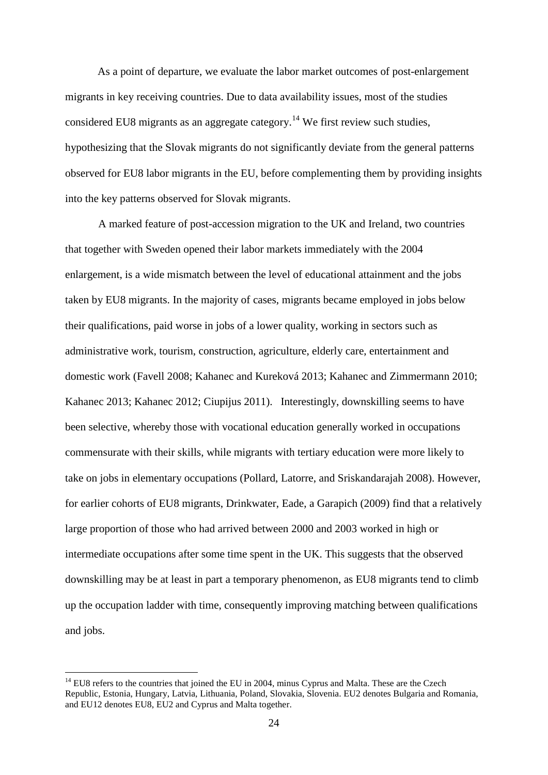As a point of departure, we evaluate the labor market outcomes of post-enlargement migrants in key receiving countries. Due to data availability issues, most of the studies considered EU8 migrants as an aggregate category.<sup>[14](#page-24-1)</sup> We first review such studies, hypothesizing that the Slovak migrants do not significantly deviate from the general patterns observed for EU8 labor migrants in the EU, before complementing them by providing insights into the key patterns observed for Slovak migrants.

A marked feature of post-accession migration to the UK and Ireland, two countries that together with Sweden opened their labor markets immediately with the 2004 enlargement, is a wide mismatch between the level of educational attainment and the jobs taken by EU8 migrants. In the majority of cases, migrants became employed in jobs below their qualifications, paid worse in jobs of a lower quality, working in sectors such as administrative work, tourism, construction, agriculture, elderly care, entertainment and domestic work (Favell 2008; Kahanec and Kureková 2013; Kahanec and Zimmermann 2010; Kahanec 2013; Kahanec 2012; Ciupijus 2011). Interestingly, downskilling seems to have been selective, whereby those with vocational education generally worked in occupations commensurate with their skills, while migrants with tertiary education were more likely to take on jobs in elementary occupations (Pollard, Latorre, and Sriskandarajah 2008). However, for earlier cohorts of EU8 migrants, Drinkwater, Eade, a Garapich (2009) find that a relatively large proportion of those who had arrived between 2000 and 2003 worked in high or intermediate occupations after some time spent in the UK. This suggests that the observed downskilling may be at least in part a temporary phenomenon, as EU8 migrants tend to climb up the occupation ladder with time, consequently improving matching between qualifications and jobs.

<span id="page-25-0"></span> $14$  EU8 refers to the countries that joined the EU in 2004, minus Cyprus and Malta. These are the Czech Republic, Estonia, Hungary, Latvia, Lithuania, Poland, Slovakia, Slovenia. EU2 denotes Bulgaria and Romania, and EU12 denotes EU8, EU2 and Cyprus and Malta together.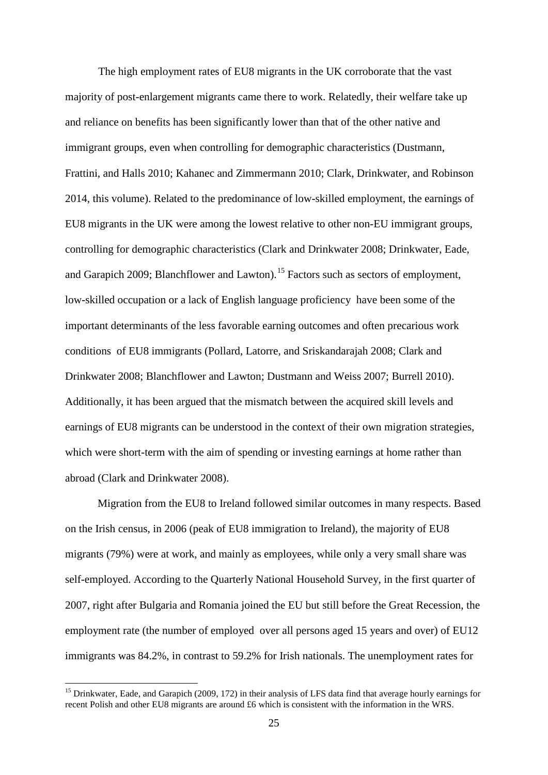The high employment rates of EU8 migrants in the UK corroborate that the vast majority of post-enlargement migrants came there to work. Relatedly, their welfare take up and reliance on benefits has been significantly lower than that of the other native and immigrant groups, even when controlling for demographic characteristics (Dustmann, Frattini, and Halls 2010; Kahanec and Zimmermann 2010; Clark, Drinkwater, and Robinson 2014, this volume). Related to the predominance of low-skilled employment, the earnings of EU8 migrants in the UK were among the lowest relative to other non-EU immigrant groups, controlling for demographic characteristics (Clark and Drinkwater 2008; Drinkwater, Eade, and Garapich 2009; Blanchflower and Lawton).<sup>[15](#page-25-0)</sup> Factors such as sectors of employment, low-skilled occupation or a lack of English language proficiency have been some of the important determinants of the less favorable earning outcomes and often precarious work conditions of EU8 immigrants (Pollard, Latorre, and Sriskandarajah 2008; Clark and Drinkwater 2008; Blanchflower and Lawton; Dustmann and Weiss 2007; Burrell 2010). Additionally, it has been argued that the mismatch between the acquired skill levels and earnings of EU8 migrants can be understood in the context of their own migration strategies, which were short-term with the aim of spending or investing earnings at home rather than abroad (Clark and Drinkwater 2008).

Migration from the EU8 to Ireland followed similar outcomes in many respects. Based on the Irish census, in 2006 (peak of EU8 immigration to Ireland), the majority of EU8 migrants (79%) were at work, and mainly as employees, while only a very small share was self-employed. According to the Quarterly National Household Survey, in the first quarter of 2007, right after Bulgaria and Romania joined the EU but still before the Great Recession, the employment rate (the number of employed over all persons aged 15 years and over) of EU12 immigrants was 84.2%, in contrast to 59.2% for Irish nationals. The unemployment rates for

<span id="page-26-0"></span><sup>&</sup>lt;sup>15</sup> Drinkwater, Eade, and Garapich (2009, 172) in their analysis of LFS data find that average hourly earnings for recent Polish and other EU8 migrants are around £6 which is consistent with the information in the WRS.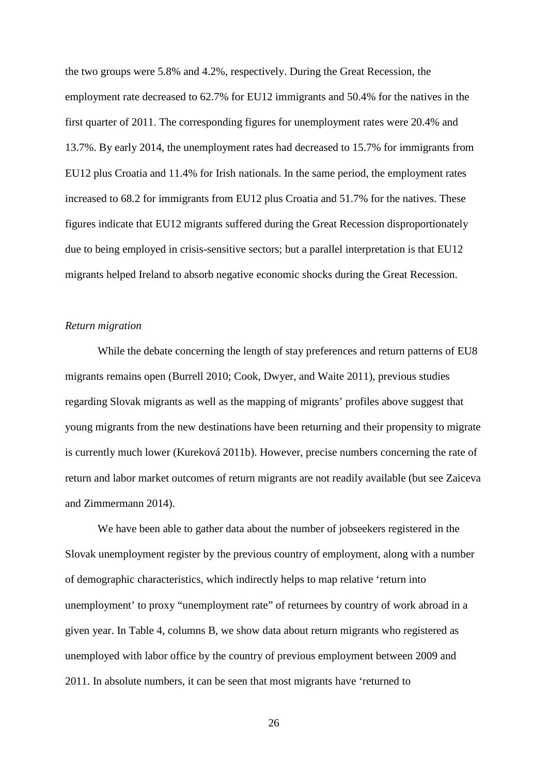the two groups were 5.8% and 4.2%, respectively. During the Great Recession, the employment rate decreased to 62.7% for EU12 immigrants and 50.4% for the natives in the first quarter of 2011. The corresponding figures for unemployment rates were 20.4% and 13.7%. By early 2014, the unemployment rates had decreased to 15.7% for immigrants from EU12 plus Croatia and 11.4% for Irish nationals. In the same period, the employment rates increased to 68.2 for immigrants from EU12 plus Croatia and 51.7% for the natives. These figures indicate that EU12 migrants suffered during the Great Recession disproportionately due to being employed in crisis-sensitive sectors; but a parallel interpretation is that EU12 migrants helped Ireland to absorb negative economic shocks during the Great Recession.

#### *Return migration*

While the debate concerning the length of stay preferences and return patterns of EU8 migrants remains open (Burrell 2010; Cook, Dwyer, and Waite 2011), previous studies regarding Slovak migrants as well as the mapping of migrants' profiles above suggest that young migrants from the new destinations have been returning and their propensity to migrate is currently much lower (Kureková 2011b). However, precise numbers concerning the rate of return and labor market outcomes of return migrants are not readily available (but see Zaiceva and Zimmermann 2014).

We have been able to gather data about the number of jobseekers registered in the Slovak unemployment register by the previous country of employment, along with a number of demographic characteristics, which indirectly helps to map relative 'return into unemployment' to proxy "unemployment rate" of returnees by country of work abroad in a given year. In Table 4, columns B, we show data about return migrants who registered as unemployed with labor office by the country of previous employment between 2009 and 2011. In absolute numbers, it can be seen that most migrants have 'returned to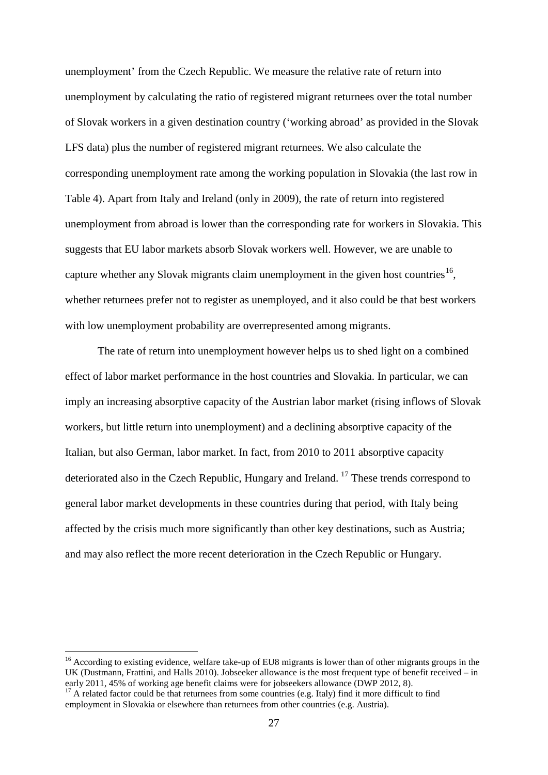unemployment' from the Czech Republic. We measure the relative rate of return into unemployment by calculating the ratio of registered migrant returnees over the total number of Slovak workers in a given destination country ('working abroad' as provided in the Slovak LFS data) plus the number of registered migrant returnees. We also calculate the corresponding unemployment rate among the working population in Slovakia (the last row in Table 4). Apart from Italy and Ireland (only in 2009), the rate of return into registered unemployment from abroad is lower than the corresponding rate for workers in Slovakia. This suggests that EU labor markets absorb Slovak workers well. However, we are unable to capture whether any Slovak migrants claim unemployment in the given host countries<sup>[16](#page-26-0)</sup>, whether returnees prefer not to register as unemployed, and it also could be that best workers with low unemployment probability are overrepresented among migrants.

The rate of return into unemployment however helps us to shed light on a combined effect of labor market performance in the host countries and Slovakia. In particular, we can imply an increasing absorptive capacity of the Austrian labor market (rising inflows of Slovak workers, but little return into unemployment) and a declining absorptive capacity of the Italian, but also German, labor market. In fact, from 2010 to 2011 absorptive capacity deteriorated also in the Czech Republic, Hungary and Ireland. <sup>[17](#page-28-0)</sup> These trends correspond to general labor market developments in these countries during that period, with Italy being affected by the crisis much more significantly than other key destinations, such as Austria; and may also reflect the more recent deterioration in the Czech Republic or Hungary.

<span id="page-28-1"></span><sup>&</sup>lt;sup>16</sup> According to existing evidence, welfare take-up of EU8 migrants is lower than of other migrants groups in the UK (Dustmann, Frattini, and Halls 2010). Jobseeker allowance is the most frequent type of benefit received – in early 2011, 45% of working age benefit claims were for jobseekers allowance (DWP 2012, 8).

<span id="page-28-0"></span><sup>&</sup>lt;sup>17</sup> A related factor could be that returnees from some countries (e.g. Italy) find it more difficult to find employment in Slovakia or elsewhere than returnees from other countries (e.g. Austria).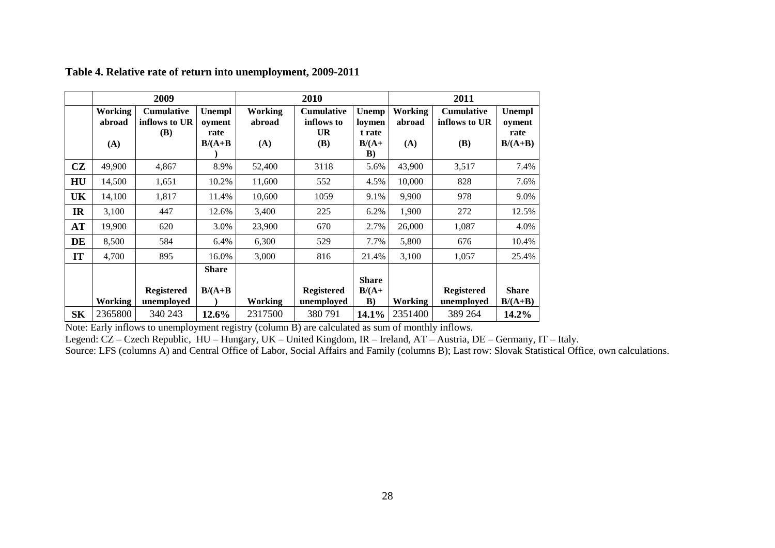|           | 2009                            |                                                  |                                       |                                 | 2010                                                |                                                          | 2011                            |                                                  |                                              |  |
|-----------|---------------------------------|--------------------------------------------------|---------------------------------------|---------------------------------|-----------------------------------------------------|----------------------------------------------------------|---------------------------------|--------------------------------------------------|----------------------------------------------|--|
|           | <b>Working</b><br>abroad<br>(A) | <b>Cumulative</b><br>inflows to UR<br><b>(B)</b> | Unempl<br>ovment<br>rate<br>$B/(A+B)$ | <b>Working</b><br>abroad<br>(A) | <b>Cumulative</b><br>inflows to<br><b>UR</b><br>(B) | <b>Unemp</b><br>loymen<br>t rate<br>$B/(A+$<br>$\bf{B})$ | <b>Working</b><br>abroad<br>(A) | <b>Cumulative</b><br>inflows to UR<br><b>(B)</b> | <b>Unempl</b><br>oyment<br>rate<br>$B/(A+B)$ |  |
| <b>CZ</b> | 49,900                          | 4,867                                            | 8.9%                                  | 52,400                          | 3118                                                | 5.6%                                                     | 43,900                          | 3,517                                            | 7.4%                                         |  |
| HU        | 14,500                          | 1,651                                            | 10.2%                                 | 11,600                          | 552                                                 | 4.5%                                                     | 10,000                          | 828                                              | 7.6%                                         |  |
| UK        | 14,100                          | 1,817                                            | 11.4%                                 | 10,600                          | 1059                                                | 9.1%                                                     | 9,900                           | 978                                              | 9.0%                                         |  |
| IR        | 3,100                           | 447                                              | 12.6%                                 | 3,400                           | 225                                                 | 6.2%                                                     | 1,900                           | 272                                              | 12.5%                                        |  |
| <b>AT</b> | 19,900                          | 620                                              | 3.0%                                  | 23,900                          | 670                                                 | 2.7%                                                     | 26,000                          | 1,087                                            | 4.0%                                         |  |
| DE        | 8,500                           | 584                                              | 6.4%                                  | 6,300                           | 529                                                 | 7.7%                                                     | 5,800                           | 676                                              | 10.4%                                        |  |
| <b>IT</b> | 4,700                           | 895                                              | 16.0%                                 | 3,000                           | 816                                                 | 21.4%                                                    | 3,100                           | 1,057                                            | 25.4%                                        |  |
|           | Working                         | <b>Registered</b><br>unemployed                  | <b>Share</b><br>$B/(A+B)$             | <b>Working</b>                  | <b>Registered</b><br>unemployed                     | <b>Share</b><br>$B/(A+$<br>$\bf{B})$                     | Working                         | <b>Registered</b><br>unemployed                  | <b>Share</b><br>$B/(A+B)$                    |  |
| <b>SK</b> | 2365800                         | 340 243                                          | 12.6%                                 | 2317500                         | 380791                                              | 14.1%                                                    | 2351400                         | 389 264                                          | 14.2%                                        |  |

**Table 4. Relative rate of return into unemployment, 2009-2011**

Note: Early inflows to unemployment registry (column B) are calculated as sum of monthly inflows.

Legend: CZ – Czech Republic, HU – Hungary, UK – United Kingdom, IR – Ireland, AT – Austria, DE – Germany, IT – Italy.

Source: LFS (columns A) and Central Office of Labor, Social Affairs and Family (columns B); Last row: Slovak Statistical Office, own calculations.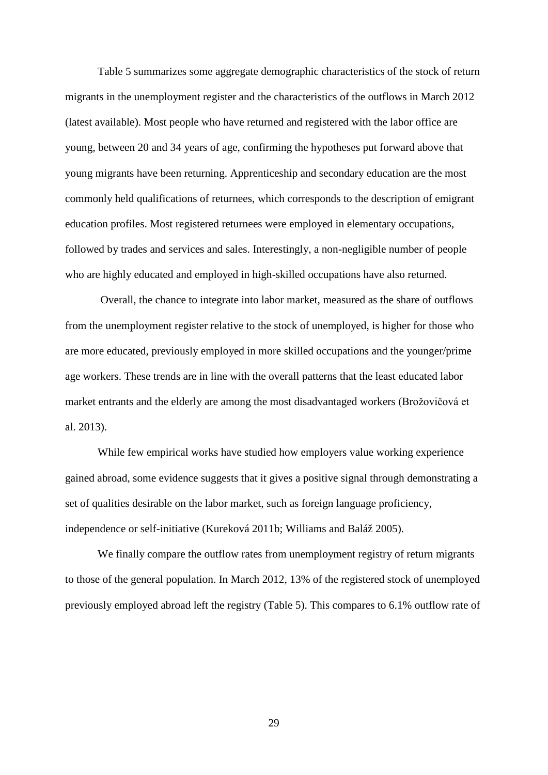Table 5 summarizes some aggregate demographic characteristics of the stock of return migrants in the unemployment register and the characteristics of the outflows in March 2012 (latest available). Most people who have returned and registered with the labor office are young, between 20 and 34 years of age, confirming the hypotheses put forward above that young migrants have been returning. Apprenticeship and secondary education are the most commonly held qualifications of returnees, which corresponds to the description of emigrant education profiles. Most registered returnees were employed in elementary occupations, followed by trades and services and sales. Interestingly, a non-negligible number of people who are highly educated and employed in high-skilled occupations have also returned.

Overall, the chance to integrate into labor market, measured as the share of outflows from the unemployment register relative to the stock of unemployed, is higher for those who are more educated, previously employed in more skilled occupations and the younger/prime age workers. These trends are in line with the overall patterns that the least educated labor market entrants and the elderly are among the most disadvantaged workers (Brožovičová et al. 2013).

While few empirical works have studied how employers value working experience gained abroad, some evidence suggests that it gives a positive signal through demonstrating a set of qualities desirable on the labor market, such as foreign language proficiency, independence or self-initiative (Kureková 2011b; Williams and Baláž 2005).

We finally compare the outflow rates from unemployment registry of return migrants to those of the general population. In March 2012, 13% of the registered stock of unemployed previously employed abroad left the registry (Table 5). This compares to 6.1% outflow rate of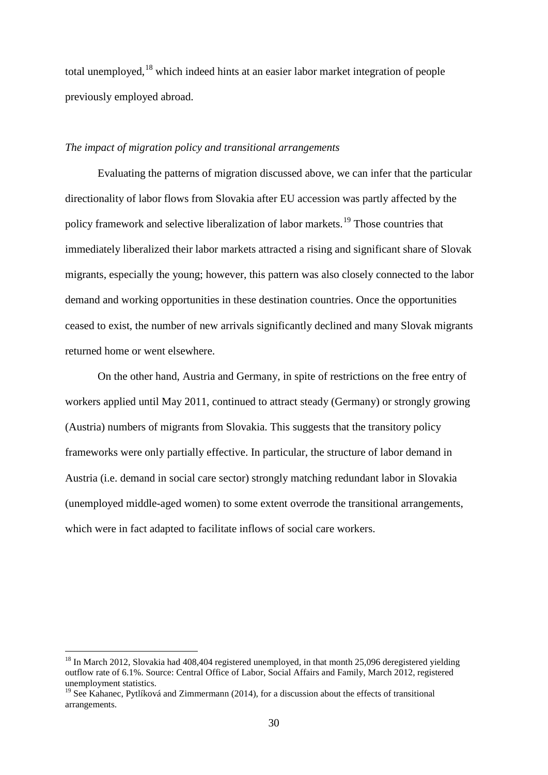total unemployed, <sup>[18](#page-28-1)</sup> which indeed hints at an easier labor market integration of people previously employed abroad.

# *The impact of migration policy and transitional arrangements*

Evaluating the patterns of migration discussed above, we can infer that the particular directionality of labor flows from Slovakia after EU accession was partly affected by the policy framework and selective liberalization of labor markets.<sup>[19](#page-31-0)</sup> Those countries that immediately liberalized their labor markets attracted a rising and significant share of Slovak migrants, especially the young; however, this pattern was also closely connected to the labor demand and working opportunities in these destination countries. Once the opportunities ceased to exist, the number of new arrivals significantly declined and many Slovak migrants returned home or went elsewhere.

On the other hand, Austria and Germany, in spite of restrictions on the free entry of workers applied until May 2011, continued to attract steady (Germany) or strongly growing (Austria) numbers of migrants from Slovakia. This suggests that the transitory policy frameworks were only partially effective. In particular, the structure of labor demand in Austria (i.e. demand in social care sector) strongly matching redundant labor in Slovakia (unemployed middle-aged women) to some extent overrode the transitional arrangements, which were in fact adapted to facilitate inflows of social care workers.

<sup>&</sup>lt;sup>18</sup> In March 2012, Slovakia had 408,404 registered unemployed, in that month 25,096 deregistered yielding outflow rate of 6.1%. Source: Central Office of Labor, Social Affairs and Family, March 2012, registered unemployment statistics.

<span id="page-31-0"></span><sup>&</sup>lt;sup>19</sup> See Kahanec, Pytlíková and Zimmermann (2014), for a discussion about the effects of transitional arrangements.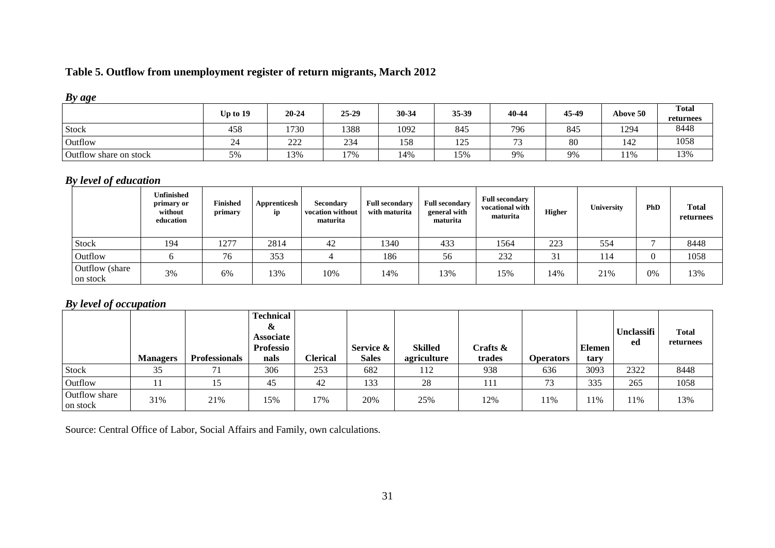# **Table 5. Outflow from unemployment register of return migrants, March 2012**

# **Up to <sup>19</sup> 20-24 25-29 30-34 35-39 40-44 45-49 Above 50 Total returnees** Stock 458 1730 1388 1092 845 796 845 1294 8448 Outflow 24 | 222 | 234 | 158 | 125 | 73 | 80 | 142 | 1058 Outflow share on stock 5% 13% 17% 14% 15% 9% 9% 11% 13%

## *By age*

# *By level of education*

|                             | Unfinished<br>primary or<br>without<br>education | <b>Finished</b><br>primary | Apprenticesh<br>ip | <b>Secondary</b><br>vocation without<br>maturita | <b>Full secondary</b><br>with maturita | <b>Full secondary</b><br>general with<br>maturita | <b>Full secondary</b><br>vocational with<br>maturita | <b>Higher</b> | University | PhD | Total<br>returnees |
|-----------------------------|--------------------------------------------------|----------------------------|--------------------|--------------------------------------------------|----------------------------------------|---------------------------------------------------|------------------------------------------------------|---------------|------------|-----|--------------------|
| Stock                       | 194                                              | 1277                       | 2814               | 42                                               | 1340                                   | 433                                               | 1564                                                 | 223           | 554        |     | 8448               |
| Outflow                     |                                                  | 76                         | 353                |                                                  | 186                                    | 56                                                | 232                                                  | 31            | 114        |     | 1058               |
| Outflow (share)<br>on stock | 3%                                               | 6%                         | 13%                | 10%                                              | 14%                                    | 13%                                               | 15%                                                  | 14%           | 21%        | 0%  | 13%                |

# *By level of occupation*

|                           | <b>Managers</b> | <b>Professionals</b> | <b>Technical</b><br>&<br><b>Associate</b><br><b>Professio</b><br>nals | Clerical | Service &<br><b>Sales</b> | <b>Skilled</b><br>agriculture | Crafts &<br>trades | <b>Operators</b> | Elemen<br>tary | <b>Unclassifi</b><br>ed | <b>Total</b><br>returnees |
|---------------------------|-----------------|----------------------|-----------------------------------------------------------------------|----------|---------------------------|-------------------------------|--------------------|------------------|----------------|-------------------------|---------------------------|
| Stock                     | 35              | 71                   | 306                                                                   | 253      | 682                       | 112                           | 938                | 636              | 3093           | 2322                    | 8448                      |
| Outflow                   |                 |                      | 45                                                                    | 42       | 133                       | 28                            | 111                | 73               | 335            | 265                     | 1058                      |
| Outflow share<br>on stock | 31%             | 21%                  | 15%                                                                   | 17%      | 20%                       | 25%                           | 12%                | 11%              | $1\%$          | 11%                     | 13%                       |

Source: Central Office of Labor, Social Affairs and Family, own calculations.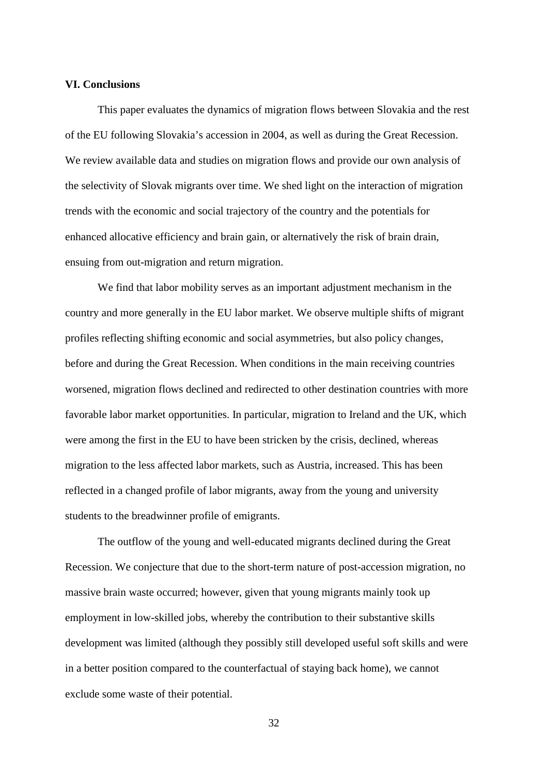#### **VI. Conclusions**

This paper evaluates the dynamics of migration flows between Slovakia and the rest of the EU following Slovakia's accession in 2004, as well as during the Great Recession. We review available data and studies on migration flows and provide our own analysis of the selectivity of Slovak migrants over time. We shed light on the interaction of migration trends with the economic and social trajectory of the country and the potentials for enhanced allocative efficiency and brain gain, or alternatively the risk of brain drain, ensuing from out-migration and return migration.

We find that labor mobility serves as an important adjustment mechanism in the country and more generally in the EU labor market. We observe multiple shifts of migrant profiles reflecting shifting economic and social asymmetries, but also policy changes, before and during the Great Recession. When conditions in the main receiving countries worsened, migration flows declined and redirected to other destination countries with more favorable labor market opportunities. In particular, migration to Ireland and the UK, which were among the first in the EU to have been stricken by the crisis, declined, whereas migration to the less affected labor markets, such as Austria, increased. This has been reflected in a changed profile of labor migrants, away from the young and university students to the breadwinner profile of emigrants.

The outflow of the young and well-educated migrants declined during the Great Recession. We conjecture that due to the short-term nature of post-accession migration, no massive brain waste occurred; however, given that young migrants mainly took up employment in low-skilled jobs, whereby the contribution to their substantive skills development was limited (although they possibly still developed useful soft skills and were in a better position compared to the counterfactual of staying back home), we cannot exclude some waste of their potential.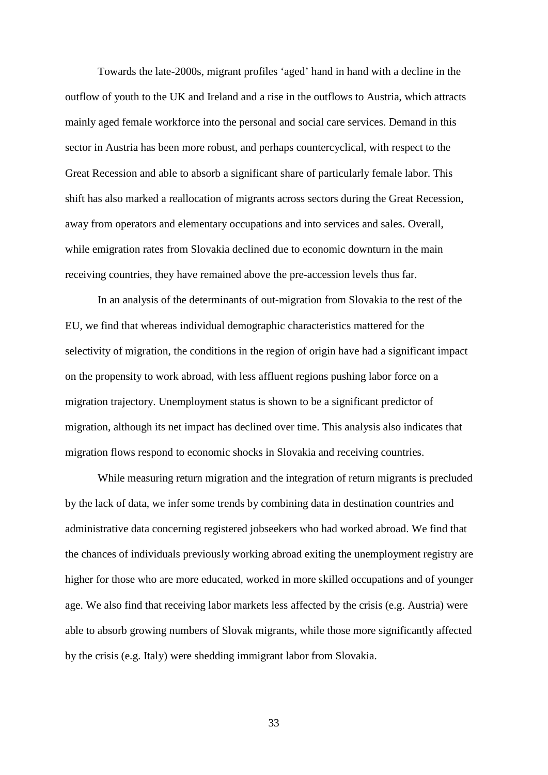Towards the late-2000s, migrant profiles 'aged' hand in hand with a decline in the outflow of youth to the UK and Ireland and a rise in the outflows to Austria, which attracts mainly aged female workforce into the personal and social care services. Demand in this sector in Austria has been more robust, and perhaps countercyclical, with respect to the Great Recession and able to absorb a significant share of particularly female labor. This shift has also marked a reallocation of migrants across sectors during the Great Recession, away from operators and elementary occupations and into services and sales. Overall, while emigration rates from Slovakia declined due to economic downturn in the main receiving countries, they have remained above the pre-accession levels thus far.

In an analysis of the determinants of out-migration from Slovakia to the rest of the EU, we find that whereas individual demographic characteristics mattered for the selectivity of migration, the conditions in the region of origin have had a significant impact on the propensity to work abroad, with less affluent regions pushing labor force on a migration trajectory. Unemployment status is shown to be a significant predictor of migration, although its net impact has declined over time. This analysis also indicates that migration flows respond to economic shocks in Slovakia and receiving countries.

While measuring return migration and the integration of return migrants is precluded by the lack of data, we infer some trends by combining data in destination countries and administrative data concerning registered jobseekers who had worked abroad. We find that the chances of individuals previously working abroad exiting the unemployment registry are higher for those who are more educated, worked in more skilled occupations and of younger age. We also find that receiving labor markets less affected by the crisis (e.g. Austria) were able to absorb growing numbers of Slovak migrants, while those more significantly affected by the crisis (e.g. Italy) were shedding immigrant labor from Slovakia.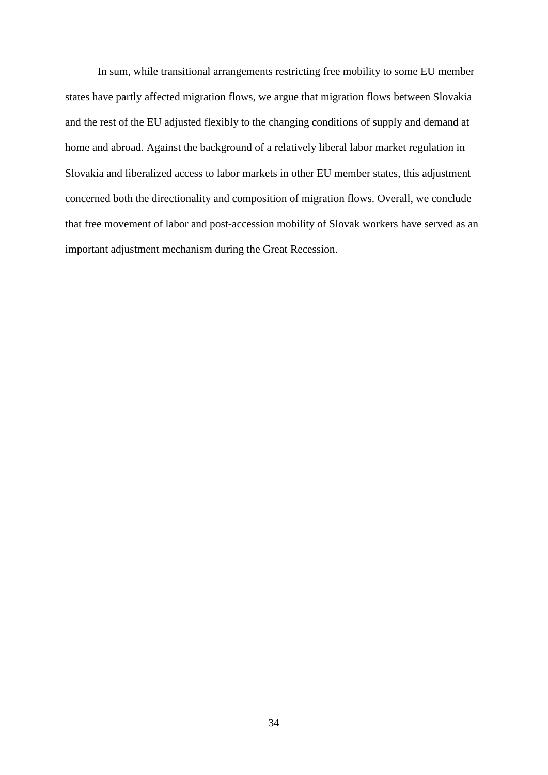In sum, while transitional arrangements restricting free mobility to some EU member states have partly affected migration flows, we argue that migration flows between Slovakia and the rest of the EU adjusted flexibly to the changing conditions of supply and demand at home and abroad. Against the background of a relatively liberal labor market regulation in Slovakia and liberalized access to labor markets in other EU member states, this adjustment concerned both the directionality and composition of migration flows. Overall, we conclude that free movement of labor and post-accession mobility of Slovak workers have served as an important adjustment mechanism during the Great Recession.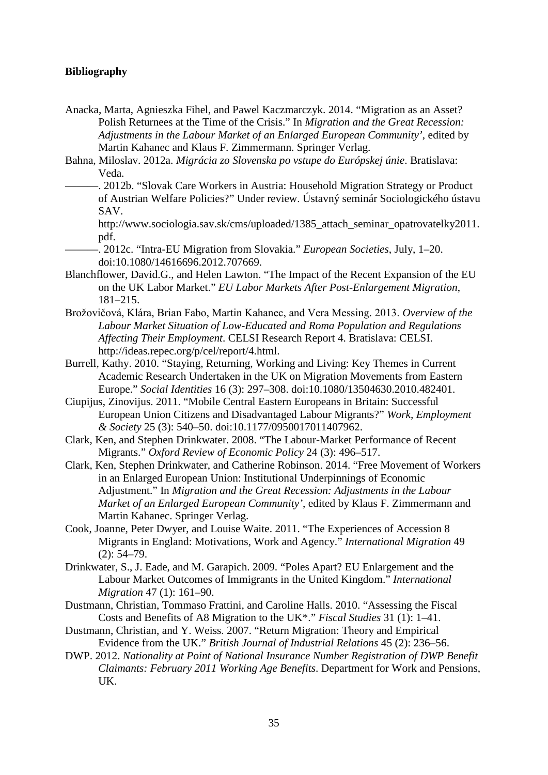### **Bibliography**

- Anacka, Marta, Agnieszka Fihel, and Pawel Kaczmarczyk. 2014. "Migration as an Asset? Polish Returnees at the Time of the Crisis." In *Migration and the Great Recession: Adjustments in the Labour Market of an Enlarged European Community'*, edited by Martin Kahanec and Klaus F. Zimmermann. Springer Verlag.
- Bahna, Miloslav. 2012a. *Migrácia zo Slovenska po vstupe do Európskej únie*. Bratislava: Veda.
- -. 2012b. "Slovak Care Workers in Austria: Household Migration Strategy or Product of Austrian Welfare Policies?" Under review. Ústavný seminár Sociologického ústavu SAV.
	- http://www.sociologia.sav.sk/cms/uploaded/1385\_attach\_seminar\_opatrovatelky2011. pdf.
- ———. 2012c. "Intra-EU Migration from Slovakia." *European Societies*, July, 1–20. doi:10.1080/14616696.2012.707669.
- Blanchflower, David.G., and Helen Lawton. "The Impact of the Recent Expansion of the EU on the UK Labor Market." *EU Labor Markets After Post-Enlargement Migration*, 181–215.
- Brožovičová, Klára, Brian Fabo, Martin Kahanec, and Vera Messing. 2013. *Overview of the Labour Market Situation of Low-Educated and Roma Population and Regulations Affecting Their Employment*. CELSI Research Report 4. Bratislava: CELSI. http://ideas.repec.org/p/cel/report/4.html.
- Burrell, Kathy. 2010. "Staying, Returning, Working and Living: Key Themes in Current Academic Research Undertaken in the UK on Migration Movements from Eastern Europe." *Social Identities* 16 (3): 297–308. doi:10.1080/13504630.2010.482401.
- Ciupijus, Zinovijus. 2011. "Mobile Central Eastern Europeans in Britain: Successful European Union Citizens and Disadvantaged Labour Migrants?" *Work, Employment & Society* 25 (3): 540–50. doi:10.1177/0950017011407962.
- Clark, Ken, and Stephen Drinkwater. 2008. "The Labour-Market Performance of Recent Migrants." *Oxford Review of Economic Policy* 24 (3): 496–517.
- Clark, Ken, Stephen Drinkwater, and Catherine Robinson. 2014. "Free Movement of Workers in an Enlarged European Union: Institutional Underpinnings of Economic Adjustment." In *Migration and the Great Recession: Adjustments in the Labour Market of an Enlarged European Community'*, edited by Klaus F. Zimmermann and Martin Kahanec. Springer Verlag.
- Cook, Joanne, Peter Dwyer, and Louise Waite. 2011. "The Experiences of Accession 8 Migrants in England: Motivations, Work and Agency." *International Migration* 49 (2): 54–79.
- Drinkwater, S., J. Eade, and M. Garapich. 2009. "Poles Apart? EU Enlargement and the Labour Market Outcomes of Immigrants in the United Kingdom." *International Migration* 47 (1): 161–90.
- Dustmann, Christian, Tommaso Frattini, and Caroline Halls. 2010. "Assessing the Fiscal Costs and Benefits of A8 Migration to the UK\*." *Fiscal Studies* 31 (1): 1–41.
- Dustmann, Christian, and Y. Weiss. 2007. "Return Migration: Theory and Empirical Evidence from the UK." *British Journal of Industrial Relations* 45 (2): 236–56.
- DWP. 2012. *Nationality at Point of National Insurance Number Registration of DWP Benefit Claimants: February 2011 Working Age Benefits*. Department for Work and Pensions, UK.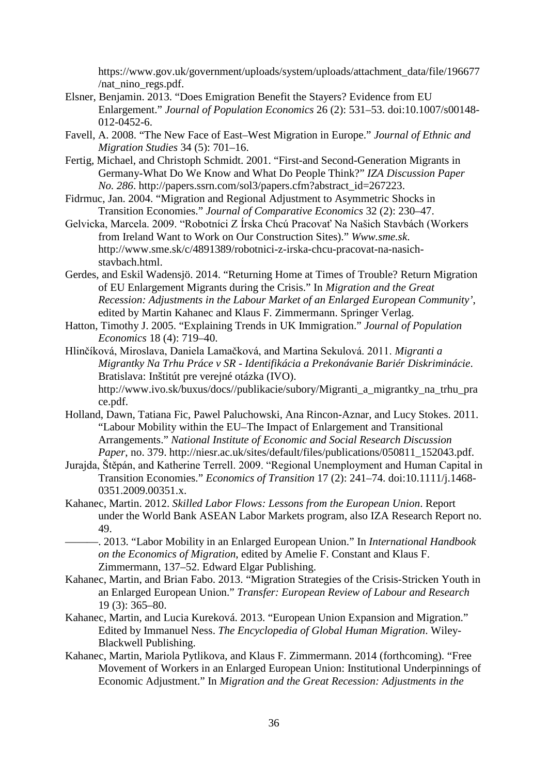https://www.gov.uk/government/uploads/system/uploads/attachment\_data/file/196677 /nat\_nino\_regs.pdf.

- Elsner, Benjamin. 2013. "Does Emigration Benefit the Stayers? Evidence from EU Enlargement." *Journal of Population Economics* 26 (2): 531–53. doi:10.1007/s00148- 012-0452-6.
- Favell, A. 2008. "The New Face of East–West Migration in Europe." *Journal of Ethnic and Migration Studies* 34 (5): 701–16.
- Fertig, Michael, and Christoph Schmidt. 2001. "First-and Second-Generation Migrants in Germany-What Do We Know and What Do People Think?" *IZA Discussion Paper No. 286*. http://papers.ssrn.com/sol3/papers.cfm?abstract\_id=267223.
- Fidrmuc, Jan. 2004. "Migration and Regional Adjustment to Asymmetric Shocks in Transition Economies." *Journal of Comparative Economics* 32 (2): 230–47.
- Gelvicka, Marcela. 2009. "Robotníci Z Írska Chcú Pracovať Na Našich Stavbách (Workers from Ireland Want to Work on Our Construction Sites)." *Www.sme.sk*. http://www.sme.sk/c/4891389/robotnici-z-irska-chcu-pracovat-na-nasichstavbach.html.
- Gerdes, and Eskil Wadensjö. 2014. "Returning Home at Times of Trouble? Return Migration of EU Enlargement Migrants during the Crisis." In *Migration and the Great Recession: Adjustments in the Labour Market of an Enlarged European Community'*, edited by Martin Kahanec and Klaus F. Zimmermann. Springer Verlag.
- Hatton, Timothy J. 2005. "Explaining Trends in UK Immigration." *Journal of Population Economics* 18 (4): 719–40.
- Hlinčíková, Miroslava, Daniela Lamačková, and Martina Sekulová. 2011. *Migranti a Migrantky Na Trhu Práce v SR - Identifikácia a Prekonávanie Bariér Diskriminácie*. Bratislava: Inštitút pre verejné otázka (IVO). http://www.ivo.sk/buxus/docs//publikacie/subory/Migranti\_a\_migrantky\_na\_trhu\_pra ce.pdf.
- Holland, Dawn, Tatiana Fic, Pawel Paluchowski, Ana Rincon-Aznar, and Lucy Stokes. 2011. "Labour Mobility within the EU–The Impact of Enlargement and Transitional Arrangements." *National Institute of Economic and Social Research Discussion Paper*, no. 379. http://niesr.ac.uk/sites/default/files/publications/050811\_152043.pdf.
- Jurajda, Štěpán, and Katherine Terrell. 2009. "Regional Unemployment and Human Capital in Transition Economies." *Economics of Transition* 17 (2): 241–74. doi:10.1111/j.1468- 0351.2009.00351.x.
- Kahanec, Martin. 2012. *Skilled Labor Flows: Lessons from the European Union*. Report under the World Bank ASEAN Labor Markets program, also IZA Research Report no. 49.
	- ———. 2013. "Labor Mobility in an Enlarged European Union." In *International Handbook on the Economics of Migration*, edited by Amelie F. Constant and Klaus F. Zimmermann, 137–52. Edward Elgar Publishing.
- Kahanec, Martin, and Brian Fabo. 2013. "Migration Strategies of the Crisis-Stricken Youth in an Enlarged European Union." *Transfer: European Review of Labour and Research* 19 (3): 365–80.
- Kahanec, Martin, and Lucia Kureková. 2013. "European Union Expansion and Migration." Edited by Immanuel Ness. *The Encyclopedia of Global Human Migration*. Wiley-Blackwell Publishing.
- Kahanec, Martin, Mariola Pytlikova, and Klaus F. Zimmermann. 2014 (forthcoming). "Free Movement of Workers in an Enlarged European Union: Institutional Underpinnings of Economic Adjustment." In *Migration and the Great Recession: Adjustments in the*